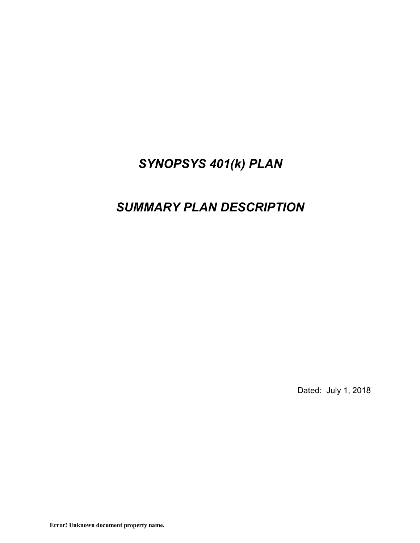# *SYNOPSYS 401(k) PLAN*

# *SUMMARY PLAN DESCRIPTION*

Dated: July 1, 2018

**Error! Unknown document property name.**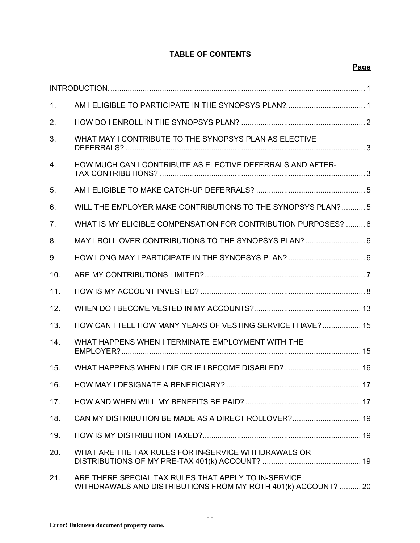# **TABLE OF CONTENTS**

| 1.               |                                                                                                                        |
|------------------|------------------------------------------------------------------------------------------------------------------------|
| 2.               |                                                                                                                        |
| 3.               | WHAT MAY I CONTRIBUTE TO THE SYNOPSYS PLAN AS ELECTIVE                                                                 |
| $\overline{4}$ . | HOW MUCH CAN I CONTRIBUTE AS ELECTIVE DEFERRALS AND AFTER-                                                             |
| 5.               |                                                                                                                        |
| 6.               | WILL THE EMPLOYER MAKE CONTRIBUTIONS TO THE SYNOPSYS PLAN?  5                                                          |
| 7.               | WHAT IS MY ELIGIBLE COMPENSATION FOR CONTRIBUTION PURPOSES?  6                                                         |
| 8.               | MAY I ROLL OVER CONTRIBUTIONS TO THE SYNOPSYS PLAN?  6                                                                 |
| 9.               |                                                                                                                        |
| 10.              |                                                                                                                        |
| 11.              |                                                                                                                        |
| 12.              |                                                                                                                        |
| 13.              | HOW CAN I TELL HOW MANY YEARS OF VESTING SERVICE I HAVE?  15                                                           |
| 14.              | WHAT HAPPENS WHEN I TERMINATE EMPLOYMENT WITH THE                                                                      |
| 15.              |                                                                                                                        |
| 16.              | HOW MAY I DESIGNATE A BENEFICIARY?                                                                                     |
| 17.              |                                                                                                                        |
| 18.              | CAN MY DISTRIBUTION BE MADE AS A DIRECT ROLLOVER? 19                                                                   |
| 19.              |                                                                                                                        |
| 20.              | WHAT ARE THE TAX RULES FOR IN-SERVICE WITHDRAWALS OR                                                                   |
| 21.              | ARE THERE SPECIAL TAX RULES THAT APPLY TO IN-SERVICE<br>WITHDRAWALS AND DISTRIBUTIONS FROM MY ROTH 401(k) ACCOUNT?  20 |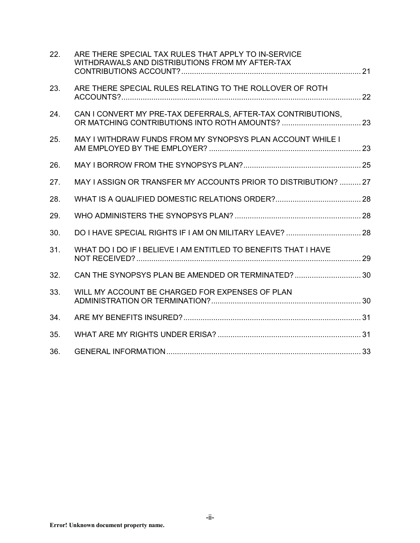| 22. | ARE THERE SPECIAL TAX RULES THAT APPLY TO IN-SERVICE<br>WITHDRAWALS AND DISTRIBUTIONS FROM MY AFTER-TAX |  |
|-----|---------------------------------------------------------------------------------------------------------|--|
| 23. | ARE THERE SPECIAL RULES RELATING TO THE ROLLOVER OF ROTH                                                |  |
| 24. | CAN I CONVERT MY PRE-TAX DEFERRALS, AFTER-TAX CONTRIBUTIONS,                                            |  |
| 25. | MAY I WITHDRAW FUNDS FROM MY SYNOPSYS PLAN ACCOUNT WHILE I                                              |  |
| 26. |                                                                                                         |  |
| 27. | MAY I ASSIGN OR TRANSFER MY ACCOUNTS PRIOR TO DISTRIBUTION?  27                                         |  |
| 28. |                                                                                                         |  |
| 29. |                                                                                                         |  |
| 30. |                                                                                                         |  |
| 31. | WHAT DO I DO IF I BELIEVE I AM ENTITLED TO BENEFITS THAT I HAVE                                         |  |
| 32. | CAN THE SYNOPSYS PLAN BE AMENDED OR TERMINATED?  30                                                     |  |
| 33. | WILL MY ACCOUNT BE CHARGED FOR EXPENSES OF PLAN                                                         |  |
| 34. |                                                                                                         |  |
| 35. |                                                                                                         |  |
| 36. |                                                                                                         |  |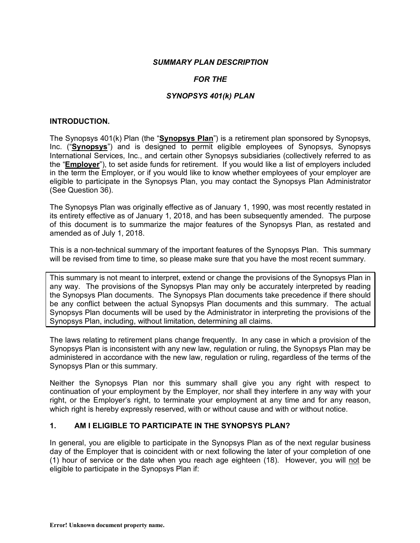#### *SUMMARY PLAN DESCRIPTION*

## *FOR THE*

#### *SYNOPSYS 401(k) PLAN*

#### **INTRODUCTION.**

The Synopsys 401(k) Plan (the "**Synopsys Plan**") is a retirement plan sponsored by Synopsys, Inc. ("**Synopsys**") and is designed to permit eligible employees of Synopsys, Synopsys International Services, Inc., and certain other Synopsys subsidiaries (collectively referred to as the "**Employer**"), to set aside funds for retirement. If you would like a list of employers included in the term the Employer, or if you would like to know whether employees of your employer are eligible to participate in the Synopsys Plan, you may contact the Synopsys Plan Administrator (See Question 36).

The Synopsys Plan was originally effective as of January 1, 1990, was most recently restated in its entirety effective as of January 1, 2018, and has been subsequently amended. The purpose of this document is to summarize the major features of the Synopsys Plan, as restated and amended as of July 1, 2018.

This is a non-technical summary of the important features of the Synopsys Plan. This summary will be revised from time to time, so please make sure that you have the most recent summary.

This summary is not meant to interpret, extend or change the provisions of the Synopsys Plan in any way. The provisions of the Synopsys Plan may only be accurately interpreted by reading the Synopsys Plan documents. The Synopsys Plan documents take precedence if there should be any conflict between the actual Synopsys Plan documents and this summary. The actual Synopsys Plan documents will be used by the Administrator in interpreting the provisions of the Synopsys Plan, including, without limitation, determining all claims.

The laws relating to retirement plans change frequently. In any case in which a provision of the Synopsys Plan is inconsistent with any new law, regulation or ruling, the Synopsys Plan may be administered in accordance with the new law, regulation or ruling, regardless of the terms of the Synopsys Plan or this summary.

Neither the Synopsys Plan nor this summary shall give you any right with respect to continuation of your employment by the Employer, nor shall they interfere in any way with your right, or the Employer's right, to terminate your employment at any time and for any reason, which right is hereby expressly reserved, with or without cause and with or without notice.

#### **1. AM I ELIGIBLE TO PARTICIPATE IN THE SYNOPSYS PLAN?**

In general, you are eligible to participate in the Synopsys Plan as of the next regular business day of the Employer that is coincident with or next following the later of your completion of one (1) hour of service or the date when you reach age eighteen (18). However, you will not be eligible to participate in the Synopsys Plan if: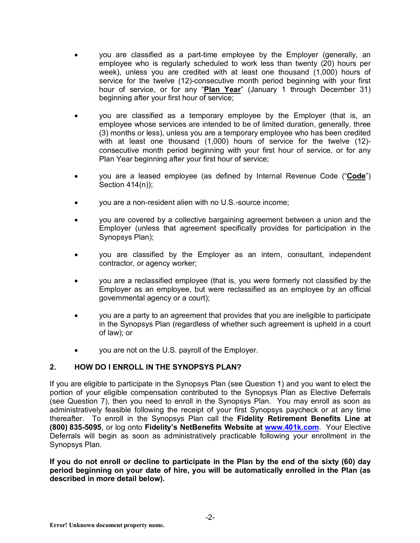- you are classified as a part-time employee by the Employer (generally, an employee who is regularly scheduled to work less than twenty (20) hours per week), unless you are credited with at least one thousand (1,000) hours of service for the twelve (12)-consecutive month period beginning with your first hour of service, or for any "**Plan Year**" (January 1 through December 31) beginning after your first hour of service;
- you are classified as a temporary employee by the Employer (that is, an employee whose services are intended to be of limited duration, generally, three (3) months or less), unless you are a temporary employee who has been credited with at least one thousand (1,000) hours of service for the twelve (12) consecutive month period beginning with your first hour of service, or for any Plan Year beginning after your first hour of service;
- you are a leased employee (as defined by Internal Revenue Code ("**Code**") Section 414(n));
- you are a non-resident alien with no U.S.-source income;
- you are covered by a collective bargaining agreement between a union and the Employer (unless that agreement specifically provides for participation in the Synopsys Plan);
- you are classified by the Employer as an intern, consultant, independent contractor, or agency worker;
- you are a reclassified employee (that is, you were formerly not classified by the Employer as an employee, but were reclassified as an employee by an official governmental agency or a court);
- you are a party to an agreement that provides that you are ineligible to participate in the Synopsys Plan (regardless of whether such agreement is upheld in a court of law); or
- you are not on the U.S. payroll of the Employer.

## **2. HOW DO I ENROLL IN THE SYNOPSYS PLAN?**

If you are eligible to participate in the Synopsys Plan (see Question 1) and you want to elect the portion of your eligible compensation contributed to the Synopsys Plan as Elective Deferrals (see Question 7), then you need to enroll in the Synopsys Plan. You may enroll as soon as administratively feasible following the receipt of your first Synopsys paycheck or at any time thereafter. To enroll in the Synopsys Plan call the **Fidelity Retirement Benefits Line at (800) 835-5095**, or log onto **Fidelity's NetBenefits Website at www.401k.com**. Your Elective Deferrals will begin as soon as administratively practicable following your enrollment in the Synopsys Plan.

**If you do not enroll or decline to participate in the Plan by the end of the sixty (60) day period beginning on your date of hire, you will be automatically enrolled in the Plan (as described in more detail below).**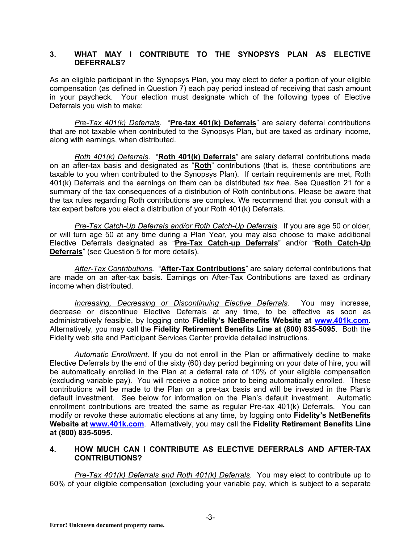#### **3. WHAT MAY I CONTRIBUTE TO THE SYNOPSYS PLAN AS ELECTIVE DEFERRALS?**

As an eligible participant in the Synopsys Plan, you may elect to defer a portion of your eligible compensation (as defined in Question 7) each pay period instead of receiving that cash amount in your paycheck. Your election must designate which of the following types of Elective Deferrals you wish to make:

*Pre-Tax 401(k) Deferrals*. "**Pre-tax 401(k) Deferrals**" are salary deferral contributions that are not taxable when contributed to the Synopsys Plan, but are taxed as ordinary income, along with earnings, when distributed.

*Roth 401(k) Deferrals*. "**Roth 401(k) Deferrals**" are salary deferral contributions made on an after-tax basis and designated as "**Roth**" contributions (that is, these contributions are taxable to you when contributed to the Synopsys Plan). If certain requirements are met, Roth 401(k) Deferrals and the earnings on them can be distributed *tax free*. See Question 21 for a summary of the tax consequences of a distribution of Roth contributions. Please be aware that the tax rules regarding Roth contributions are complex. We recommend that you consult with a tax expert before you elect a distribution of your Roth 401(k) Deferrals.

*Pre-Tax Catch-Up Deferrals and/or Roth Catch-Up Deferrals*. If you are age 50 or older, or will turn age 50 at any time during a Plan Year, you may also choose to make additional Elective Deferrals designated as "**Pre-Tax Catch-up Deferrals**" and/or "**Roth Catch-Up Deferrals**" (see Question 5 for more details).

*After-Tax Contributions.* "**After-Tax Contributions**" are salary deferral contributions that are made on an after-tax basis. Earnings on After-Tax Contributions are taxed as ordinary income when distributed.

*Increasing, Decreasing or Discontinuing Elective Deferrals.* You may increase, decrease or discontinue Elective Deferrals at any time, to be effective as soon as administratively feasible, by logging onto **Fidelity's NetBenefits Website at www.401k.com**. Alternatively, you may call the **Fidelity Retirement Benefits Line at (800) 835-5095**. Both the Fidelity web site and Participant Services Center provide detailed instructions.

*Automatic Enrollment.* If you do not enroll in the Plan or affirmatively decline to make Elective Deferrals by the end of the sixty (60) day period beginning on your date of hire, you will be automatically enrolled in the Plan at a deferral rate of 10% of your eligible compensation (excluding variable pay). You will receive a notice prior to being automatically enrolled. These contributions will be made to the Plan on a pre-tax basis and will be invested in the Plan's default investment. See below for information on the Plan's default investment. Automatic enrollment contributions are treated the same as regular Pre-tax 401(k) Deferrals. You can modify or revoke these automatic elections at any time, by logging onto **Fidelity's NetBenefits Website at www.401k.com**. Alternatively, you may call the **Fidelity Retirement Benefits Line at (800) 835-5095.**

## **4. HOW MUCH CAN I CONTRIBUTE AS ELECTIVE DEFERRALS AND AFTER-TAX CONTRIBUTIONS?**

*Pre-Tax 401(k) Deferrals and Roth 401(k) Deferrals*. You may elect to contribute up to 60% of your eligible compensation (excluding your variable pay, which is subject to a separate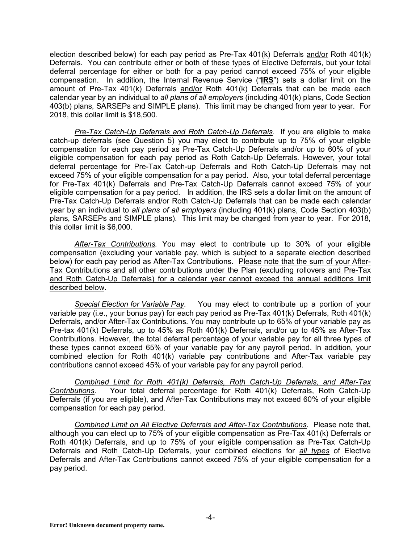election described below) for each pay period as Pre-Tax 401(k) Deferrals and/or Roth 401(k) Deferrals. You can contribute either or both of these types of Elective Deferrals, but your total deferral percentage for either or both for a pay period cannot exceed 75% of your eligible compensation. In addition, the Internal Revenue Service ("**IRS**") sets a dollar limit on the amount of Pre-Tax 401(k) Deferrals and/or Roth 401(k) Deferrals that can be made each calendar year by an individual to *all plans of all employers* (including 401(k) plans, Code Section 403(b) plans, SARSEPs and SIMPLE plans). This limit may be changed from year to year. For 2018, this dollar limit is \$18,500.

*Pre-Tax Catch-Up Deferrals and Roth Catch-Up Deferrals.* If you are eligible to make catch-up deferrals (see Question 5) you may elect to contribute up to 75% of your eligible compensation for each pay period as Pre-Tax Catch-Up Deferrals and/or up to 60% of your eligible compensation for each pay period as Roth Catch-Up Deferrals. However, your total deferral percentage for Pre-Tax Catch-up Deferrals and Roth Catch-Up Deferrals may not exceed 75% of your eligible compensation for a pay period. Also, your total deferral percentage for Pre-Tax 401(k) Deferrals and Pre-Tax Catch-Up Deferrals cannot exceed 75% of your eligible compensation for a pay period. In addition, the IRS sets a dollar limit on the amount of Pre-Tax Catch-Up Deferrals and/or Roth Catch-Up Deferrals that can be made each calendar year by an individual to *all plans of all employers* (including 401(k) plans, Code Section 403(b) plans, SARSEPs and SIMPLE plans). This limit may be changed from year to year. For 2018, this dollar limit is \$6,000.

*After-Tax Contributions.* You may elect to contribute up to 30% of your eligible compensation (excluding your variable pay, which is subject to a separate election described below) for each pay period as After-Tax Contributions. Please note that the sum of your After-Tax Contributions and all other contributions under the Plan (excluding rollovers and Pre-Tax and Roth Catch-Up Deferrals) for a calendar year cannot exceed the annual additions limit described below.

*Special Election for Variable Pay.* You may elect to contribute up a portion of your variable pay (i.e., your bonus pay) for each pay period as Pre-Tax 401(k) Deferrals, Roth 401(k) Deferrals, and/or After-Tax Contributions. You may contribute up to 65% of your variable pay as Pre-tax 401(k) Deferrals, up to 45% as Roth 401(k) Deferrals, and/or up to 45% as After-Tax Contributions. However, the total deferral percentage of your variable pay for all three types of these types cannot exceed 65% of your variable pay for any payroll period. In addition, your combined election for Roth 401(k) variable pay contributions and After-Tax variable pay contributions cannot exceed 45% of your variable pay for any payroll period.

*Combined Limit for Roth 401(k) Deferrals, Roth Catch-Up Deferrals, and After-Tax Contributions.* Your total deferral percentage for Roth 401(k) Deferrals, Roth Catch-Up Deferrals (if you are eligible), and After-Tax Contributions may not exceed 60% of your eligible compensation for each pay period.

*Combined Limit on All Elective Deferrals and After-Tax Contributions*. Please note that, although you can elect up to 75% of your eligible compensation as Pre-Tax 401(k) Deferrals or Roth 401(k) Deferrals, and up to 75% of your eligible compensation as Pre-Tax Catch-Up Deferrals and Roth Catch-Up Deferrals, your combined elections for *all types* of Elective Deferrals and After-Tax Contributions cannot exceed 75% of your eligible compensation for a pay period.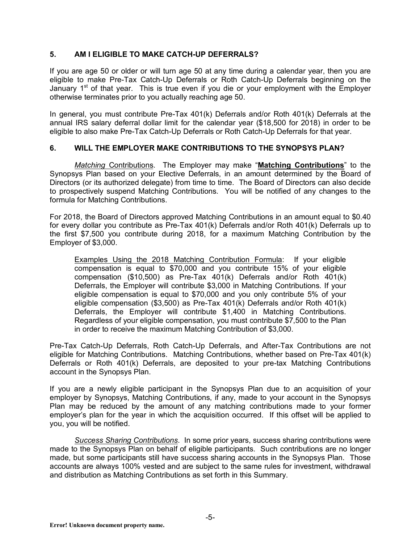## **5. AM I ELIGIBLE TO MAKE CATCH-UP DEFERRALS?**

If you are age 50 or older or will turn age 50 at any time during a calendar year, then you are eligible to make Pre-Tax Catch-Up Deferrals or Roth Catch-Up Deferrals beginning on the January  $1<sup>st</sup>$  of that year. This is true even if you die or your employment with the Employer otherwise terminates prior to you actually reaching age 50.

In general, you must contribute Pre-Tax 401(k) Deferrals and/or Roth 401(k) Deferrals at the annual IRS salary deferral dollar limit for the calendar year (\$18,500 for 2018) in order to be eligible to also make Pre-Tax Catch-Up Deferrals or Roth Catch-Up Deferrals for that year.

## **6. WILL THE EMPLOYER MAKE CONTRIBUTIONS TO THE SYNOPSYS PLAN?**

*Matching* Contributions. The Employer may make "**Matching Contributions**" to the Synopsys Plan based on your Elective Deferrals, in an amount determined by the Board of Directors (or its authorized delegate) from time to time. The Board of Directors can also decide to prospectively suspend Matching Contributions. You will be notified of any changes to the formula for Matching Contributions.

For 2018, the Board of Directors approved Matching Contributions in an amount equal to \$0.40 for every dollar you contribute as Pre-Tax 401(k) Deferrals and/or Roth 401(k) Deferrals up to the first \$7,500 you contribute during 2018, for a maximum Matching Contribution by the Employer of \$3,000.

Examples Using the 2018 Matching Contribution Formula: If your eligible compensation is equal to \$70,000 and you contribute 15% of your eligible compensation (\$10,500) as Pre-Tax 401(k) Deferrals and/or Roth 401(k) Deferrals, the Employer will contribute \$3,000 in Matching Contributions*.* If your eligible compensation is equal to \$70,000 and you only contribute 5% of your eligible compensation (\$3,500) as Pre-Tax 401(k) Deferrals and/or Roth 401(k) Deferrals, the Employer will contribute \$1,400 in Matching Contributions. Regardless of your eligible compensation, you must contribute \$7,500 to the Plan in order to receive the maximum Matching Contribution of \$3,000.

Pre-Tax Catch-Up Deferrals, Roth Catch-Up Deferrals, and After-Tax Contributions are not eligible for Matching Contributions. Matching Contributions, whether based on Pre-Tax 401(k) Deferrals or Roth 401(k) Deferrals, are deposited to your pre-tax Matching Contributions account in the Synopsys Plan.

If you are a newly eligible participant in the Synopsys Plan due to an acquisition of your employer by Synopsys, Matching Contributions, if any, made to your account in the Synopsys Plan may be reduced by the amount of any matching contributions made to your former employer's plan for the year in which the acquisition occurred. If this offset will be applied to you, you will be notified.

*Success Sharing Contributions*. In some prior years, success sharing contributions were made to the Synopsys Plan on behalf of eligible participants. Such contributions are no longer made, but some participants still have success sharing accounts in the Synopsys Plan. Those accounts are always 100% vested and are subject to the same rules for investment, withdrawal and distribution as Matching Contributions as set forth in this Summary.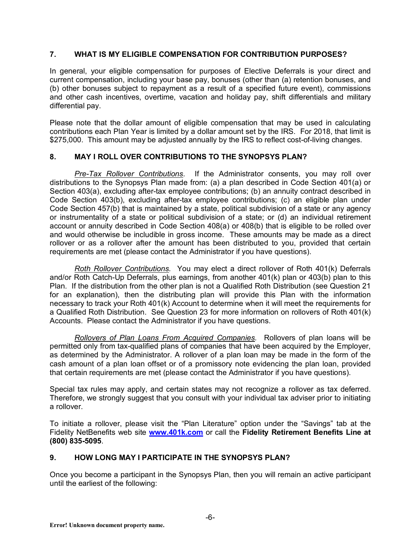## **7. WHAT IS MY ELIGIBLE COMPENSATION FOR CONTRIBUTION PURPOSES?**

In general, your eligible compensation for purposes of Elective Deferrals is your direct and current compensation, including your base pay, bonuses (other than (a) retention bonuses, and (b) other bonuses subject to repayment as a result of a specified future event), commissions and other cash incentives, overtime, vacation and holiday pay, shift differentials and military differential pay.

Please note that the dollar amount of eligible compensation that may be used in calculating contributions each Plan Year is limited by a dollar amount set by the IRS. For 2018, that limit is \$275,000. This amount may be adjusted annually by the IRS to reflect cost-of-living changes.

## **8. MAY I ROLL OVER CONTRIBUTIONS TO THE SYNOPSYS PLAN?**

*Pre-Tax Rollover Contributions*. If the Administrator consents, you may roll over distributions to the Synopsys Plan made from: (a) a plan described in Code Section 401(a) or Section 403(a), excluding after-tax employee contributions; (b) an annuity contract described in Code Section 403(b), excluding after-tax employee contributions; (c) an eligible plan under Code Section 457(b) that is maintained by a state, political subdivision of a state or any agency or instrumentality of a state or political subdivision of a state; or (d) an individual retirement account or annuity described in Code Section 408(a) or 408(b) that is eligible to be rolled over and would otherwise be includible in gross income. These amounts may be made as a direct rollover or as a rollover after the amount has been distributed to you, provided that certain requirements are met (please contact the Administrator if you have questions).

*Roth Rollover Contributions.* You may elect a direct rollover of Roth 401(k) Deferrals and/or Roth Catch-Up Deferrals, plus earnings, from another 401(k) plan or 403(b) plan to this Plan. If the distribution from the other plan is not a Qualified Roth Distribution (see Question 21 for an explanation), then the distributing plan will provide this Plan with the information necessary to track your Roth 401(k) Account to determine when it will meet the requirements for a Qualified Roth Distribution. See Question 23 for more information on rollovers of Roth 401(k) Accounts. Please contact the Administrator if you have questions.

*Rollovers of Plan Loans From Acquired Companies.* Rollovers of plan loans will be permitted only from tax-qualified plans of companies that have been acquired by the Employer, as determined by the Administrator. A rollover of a plan loan may be made in the form of the cash amount of a plan loan offset or of a promissory note evidencing the plan loan, provided that certain requirements are met (please contact the Administrator if you have questions).

Special tax rules may apply, and certain states may not recognize a rollover as tax deferred. Therefore, we strongly suggest that you consult with your individual tax adviser prior to initiating a rollover.

To initiate a rollover, please visit the "Plan Literature" option under the "Savings" tab at the Fidelity NetBenefits web site **www.401k.com** or call the **Fidelity Retirement Benefits Line at (800) 835-5095**.

## **9. HOW LONG MAY I PARTICIPATE IN THE SYNOPSYS PLAN?**

Once you become a participant in the Synopsys Plan, then you will remain an active participant until the earliest of the following: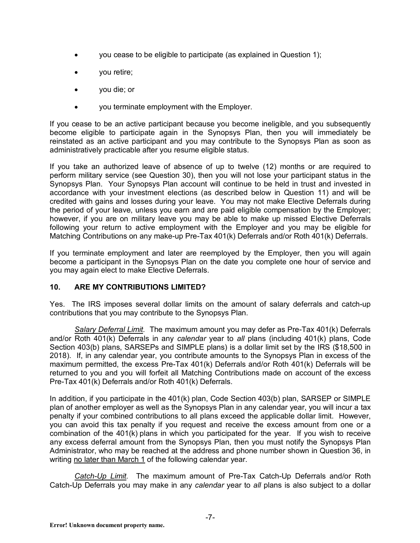- you cease to be eligible to participate (as explained in Question 1);
- you retire;
- you die; or
- you terminate employment with the Employer.

If you cease to be an active participant because you become ineligible, and you subsequently become eligible to participate again in the Synopsys Plan, then you will immediately be reinstated as an active participant and you may contribute to the Synopsys Plan as soon as administratively practicable after you resume eligible status.

If you take an authorized leave of absence of up to twelve (12) months or are required to perform military service (see Question 30), then you will not lose your participant status in the Synopsys Plan. Your Synopsys Plan account will continue to be held in trust and invested in accordance with your investment elections (as described below in Question 11) and will be credited with gains and losses during your leave. You may not make Elective Deferrals during the period of your leave, unless you earn and are paid eligible compensation by the Employer; however, if you are on military leave you may be able to make up missed Elective Deferrals following your return to active employment with the Employer and you may be eligible for Matching Contributions on any make-up Pre-Tax 401(k) Deferrals and/or Roth 401(k) Deferrals.

If you terminate employment and later are reemployed by the Employer, then you will again become a participant in the Synopsys Plan on the date you complete one hour of service and you may again elect to make Elective Deferrals.

## **10. ARE MY CONTRIBUTIONS LIMITED?**

Yes. The IRS imposes several dollar limits on the amount of salary deferrals and catch-up contributions that you may contribute to the Synopsys Plan.

*Salary Deferral Limit.* The maximum amount you may defer as Pre-Tax 401(k) Deferrals and/or Roth 401(k) Deferrals in any *calendar* year to *all* plans (including 401(k) plans, Code Section 403(b) plans, SARSEPs and SIMPLE plans) is a dollar limit set by the IRS (\$18,500 in 2018). If, in any calendar year, you contribute amounts to the Synopsys Plan in excess of the maximum permitted, the excess Pre-Tax 401(k) Deferrals and/or Roth 401(k) Deferrals will be returned to you and you will forfeit all Matching Contributions made on account of the excess Pre-Tax 401(k) Deferrals and/or Roth 401(k) Deferrals.

In addition, if you participate in the 401(k) plan, Code Section 403(b) plan, SARSEP or SIMPLE plan of another employer as well as the Synopsys Plan in any calendar year, you will incur a tax penalty if your combined contributions to all plans exceed the applicable dollar limit. However, you can avoid this tax penalty if you request and receive the excess amount from one or a combination of the 401(k) plans in which you participated for the year. If you wish to receive any excess deferral amount from the Synopsys Plan, then you must notify the Synopsys Plan Administrator, who may be reached at the address and phone number shown in Question 36, in writing no later than March 1 of the following calendar year.

*Catch-Up Limit.* The maximum amount of Pre-Tax Catch-Up Deferrals and/or Roth Catch-Up Deferrals you may make in any *calendar* year to *all* plans is also subject to a dollar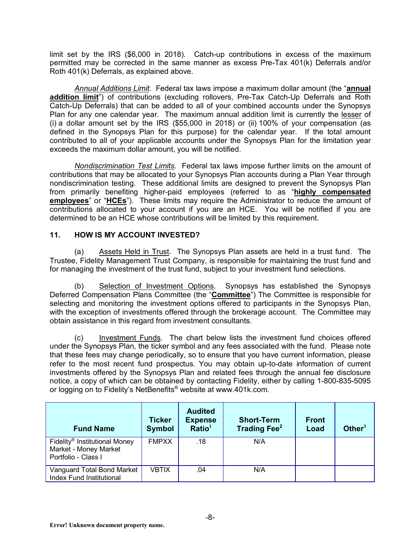limit set by the IRS (\$6,000 in 2018). Catch-up contributions in excess of the maximum permitted may be corrected in the same manner as excess Pre-Tax 401(k) Deferrals and/or Roth 401(k) Deferrals, as explained above.

*Annual Additions Limit.* Federal tax laws impose a maximum dollar amount (the "**annual addition limit**") of contributions (excluding rollovers, Pre-Tax Catch-Up Deferrals and Roth Catch-Up Deferrals) that can be added to all of your combined accounts under the Synopsys Plan for any one calendar year. The maximum annual addition limit is currently the lesser of (i) a dollar amount set by the IRS (\$55,000 in 2018) or (ii) 100% of your compensation (as defined in the Synopsys Plan for this purpose) for the calendar year. If the total amount contributed to all of your applicable accounts under the Synopsys Plan for the limitation year exceeds the maximum dollar amount, you will be notified.

*Nondiscrimination Test Limits.* Federal tax laws impose further limits on the amount of contributions that may be allocated to your Synopsys Plan accounts during a Plan Year through nondiscrimination testing. These additional limits are designed to prevent the Synopsys Plan from primarily benefiting higher-paid employees (referred to as "**highly compensated employees**" or "**HCEs**"). These limits may require the Administrator to reduce the amount of contributions allocated to your account if you are an HCE. You will be notified if you are determined to be an HCE whose contributions will be limited by this requirement.

## **11. HOW IS MY ACCOUNT INVESTED?**

(a) Assets Held in Trust. The Synopsys Plan assets are held in a trust fund. The Trustee, Fidelity Management Trust Company, is responsible for maintaining the trust fund and for managing the investment of the trust fund, subject to your investment fund selections.

(b) Selection of Investment Options. Synopsys has established the Synopsys Deferred Compensation Plans Committee (the "**Committee**") The Committee is responsible for selecting and monitoring the investment options offered to participants in the Synopsys Plan, with the exception of investments offered through the brokerage account. The Committee may obtain assistance in this regard from investment consultants.

(c) Investment Funds. The chart below lists the investment fund choices offered under the Synopsys Plan, the ticker symbol and any fees associated with the fund. Please note that these fees may change periodically, so to ensure that you have current information, please refer to the most recent fund prospectus. You may obtain up-to-date information of current investments offered by the Synopsys Plan and related fees through the annual fee disclosure notice, a copy of which can be obtained by contacting Fidelity, either by calling 1-800-835-5095 or logging on to Fidelity's NetBenefits® website at www.401k.com.

| <b>Fund Name</b>                                                                          | <b>Ticker</b><br><b>Symbol</b> | <b>Audited</b><br><b>Expense</b><br>Ratio <sup>1</sup> | <b>Short-Term</b><br><b>Trading Fee</b> <sup>2</sup> | <b>Front</b><br>Load | Other $3$ |
|-------------------------------------------------------------------------------------------|--------------------------------|--------------------------------------------------------|------------------------------------------------------|----------------------|-----------|
| Fidelity <sup>®</sup> Institutional Money<br>Market - Money Market<br>Portfolio - Class I | <b>FMPXX</b>                   | .18                                                    | N/A                                                  |                      |           |
| Vanguard Total Bond Market<br>Index Fund Institutional                                    | <b>VBTIX</b>                   | .04                                                    | N/A                                                  |                      |           |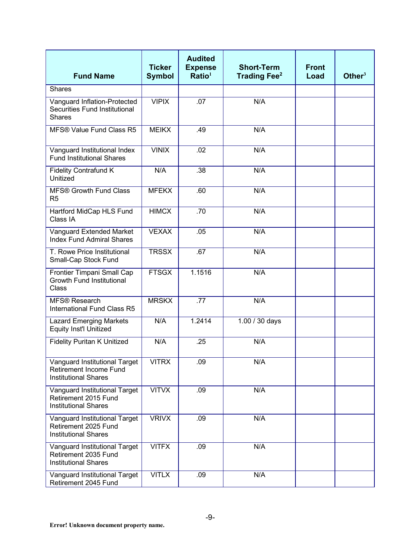| <b>Fund Name</b>                                                                       | <b>Ticker</b><br><b>Symbol</b> | <b>Audited</b><br><b>Expense</b><br>Ratio <sup>1</sup> | <b>Short-Term</b><br>Trading Fee <sup>2</sup> | <b>Front</b><br>Load | Other $3$ |
|----------------------------------------------------------------------------------------|--------------------------------|--------------------------------------------------------|-----------------------------------------------|----------------------|-----------|
| <b>Shares</b>                                                                          |                                |                                                        |                                               |                      |           |
| Vanguard Inflation-Protected<br>Securities Fund Institutional<br><b>Shares</b>         | <b>VIPIX</b>                   | .07                                                    | N/A                                           |                      |           |
| MFS® Value Fund Class R5                                                               | <b>MEIKX</b>                   | .49                                                    | N/A                                           |                      |           |
| Vanguard Institutional Index<br><b>Fund Institutional Shares</b>                       | <b>VINIX</b>                   | .02                                                    | N/A                                           |                      |           |
| <b>Fidelity Contrafund K</b><br>Unitized                                               | N/A                            | .38                                                    | N/A                                           |                      |           |
| <b>MFS® Growth Fund Class</b><br>R <sub>5</sub>                                        | <b>MFEKX</b>                   | .60                                                    | N/A                                           |                      |           |
| Hartford MidCap HLS Fund<br>Class IA                                                   | <b>HIMCX</b>                   | .70                                                    | N/A                                           |                      |           |
| Vanguard Extended Market<br><b>Index Fund Admiral Shares</b>                           | <b>VEXAX</b>                   | .05                                                    | N/A                                           |                      |           |
| T. Rowe Price Institutional<br>Small-Cap Stock Fund                                    | <b>TRSSX</b>                   | .67                                                    | N/A                                           |                      |           |
| Frontier Timpani Small Cap<br><b>Growth Fund Institutional</b><br>Class                | <b>FTSGX</b>                   | 1.1516                                                 | N/A                                           |                      |           |
| MFS® Research<br>International Fund Class R5                                           | <b>MRSKX</b>                   | .77                                                    | N/A                                           |                      |           |
| <b>Lazard Emerging Markets</b><br><b>Equity Inst'l Unitized</b>                        | N/A                            | 1.2414                                                 | 1.00 / 30 days                                |                      |           |
| <b>Fidelity Puritan K Unitized</b>                                                     | N/A                            | .25                                                    | N/A                                           |                      |           |
| Vanguard Institutional Target<br>Retirement Income Fund<br><b>Institutional Shares</b> | <b>VITRX</b>                   | .09                                                    | N/A                                           |                      |           |
| Vanguard Institutional Target<br>Retirement 2015 Fund<br><b>Institutional Shares</b>   | <b>VITVX</b>                   | .09                                                    | N/A                                           |                      |           |
| Vanguard Institutional Target<br>Retirement 2025 Fund<br><b>Institutional Shares</b>   | <b>VRIVX</b>                   | .09                                                    | N/A                                           |                      |           |
| Vanguard Institutional Target<br>Retirement 2035 Fund<br><b>Institutional Shares</b>   | <b>VITFX</b>                   | .09                                                    | N/A                                           |                      |           |
| Vanguard Institutional Target<br>Retirement 2045 Fund                                  | <b>VITLX</b>                   | .09                                                    | N/A                                           |                      |           |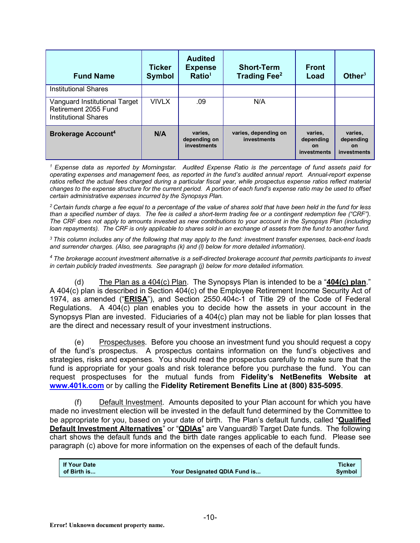| <b>Fund Name</b>                                                                     | <b>Ticker</b><br><b>Symbol</b> | <b>Audited</b><br><b>Expense</b><br>Ratio <sup>1</sup> | <b>Short-Term</b><br><b>Trading Fee</b> <sup>2</sup> | <b>Front</b><br>Load                             | Other $3$                                        |
|--------------------------------------------------------------------------------------|--------------------------------|--------------------------------------------------------|------------------------------------------------------|--------------------------------------------------|--------------------------------------------------|
| <b>Institutional Shares</b>                                                          |                                |                                                        |                                                      |                                                  |                                                  |
| Vanguard Institutional Target<br>Retirement 2055 Fund<br><b>Institutional Shares</b> | <b>VIVLX</b>                   | .09                                                    | N/A                                                  |                                                  |                                                  |
| <b>Brokerage Account4</b>                                                            | N/A                            | varies,<br>depending on<br>investments                 | varies, depending on<br>investments                  | varies,<br>depending<br><b>on</b><br>investments | varies.<br>depending<br><b>on</b><br>investments |

*<sup>1</sup> Expense data as reported by Morningstar. Audited Expense Ratio is the percentage of fund assets paid for operating expenses and management fees, as reported in the fund's audited annual report. Annual-report expense*  ratios reflect the actual fees charged during a particular fiscal year, while prospectus expense ratios reflect material *changes to the expense structure for the current period. A portion of each fund's expense ratio may be used to offset certain administrative expenses incurred by the Synopsys Plan.*

*<sup>2</sup> Certain funds charge a fee equal to a percentage of the value of shares sold that have been held in the fund for less than a specified number of days. The fee is called a short-term trading fee or a contingent redemption fee ("CRF"). The CRF does not apply to amounts invested as new contributions to your account in the Synopsys Plan (including loan repayments). The CRF is only applicable to shares sold in an exchange of assets from the fund to another fund.*

*<sup>3</sup> This column includes any of the following that may apply to the fund: investment transfer expenses, back-end loads and surrender charges. (Also, see paragraphs (k) and (l) below for more detailed information).*

*<sup>4</sup> The brokerage account investment alternative is a self-directed brokerage account that permits participants to invest in certain publicly traded investments. See paragraph (j) below for more detailed information.*

(d) The Plan as a 404(c) Plan. The Synopsys Plan is intended to be a "**404(c) plan**." A 404(c) plan is described in Section 404(c) of the Employee Retirement Income Security Act of 1974, as amended ("**ERISA**"), and Section 2550.404c-1 of Title 29 of the Code of Federal Regulations. A 404(c) plan enables you to decide how the assets in your account in the Synopsys Plan are invested. Fiduciaries of a 404(c) plan may not be liable for plan losses that are the direct and necessary result of your investment instructions.

(e) Prospectuses. Before you choose an investment fund you should request a copy of the fund's prospectus. A prospectus contains information on the fund's objectives and strategies, risks and expenses. You should read the prospectus carefully to make sure that the fund is appropriate for your goals and risk tolerance before you purchase the fund. You can request prospectuses for the mutual funds from **Fidelity's NetBenefits Website at www.401k.com** or by calling the **Fidelity Retirement Benefits Line at (800) 835-5095**.

(f) Default Investment. Amounts deposited to your Plan account for which you have made no investment election will be invested in the default fund determined by the Committee to be appropriate for you, based on your date of birth. The Plan's default funds, called "**Qualified Default Investment Alternatives**" or "**QDIAs**" are Vanguard® Target Date funds. The following chart shows the default funds and the birth date ranges applicable to each fund. Please see paragraph (c) above for more information on the expenses of each of the default funds.

| <b>If Your Date</b> |                              | <b>Ticker</b> |
|---------------------|------------------------------|---------------|
| of Birth is         | Your Designated QDIA Fund is | <b>Symbol</b> |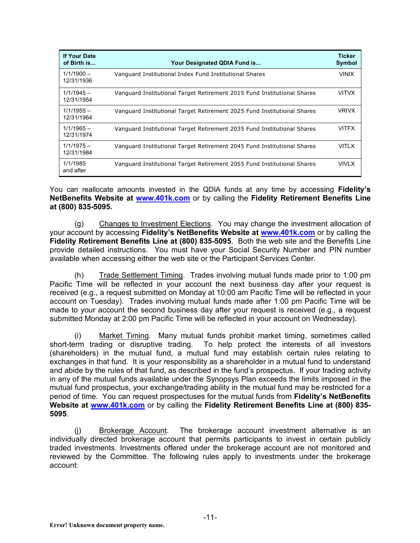| <b>If Your Date</b><br>of Birth is | Your Designated QDIA Fund is                                            | <b>Ticker</b><br><b>Symbol</b> |
|------------------------------------|-------------------------------------------------------------------------|--------------------------------|
| $1/1/1900 -$<br>12/31/1936         | Vanguard Institutional Index Fund Institutional Shares                  | <b>VINIX</b>                   |
| $1/1/1945 -$<br>12/31/1954         | Vanguard Institutional Target Retirement 2015 Fund Institutional Shares | <b>VITVX</b>                   |
| $1/1/1955 -$<br>12/31/1964         | Vanguard Institutional Target Retirement 2025 Fund Institutional Shares | <b>VRIVX</b>                   |
| $1/1/1965 -$<br>12/31/1974         | Vanguard Institutional Target Retirement 2035 Fund Institutional Shares | <b>VITFX</b>                   |
| $1/1/1975 -$<br>12/31/1984         | Vanguard Institutional Target Retirement 2045 Fund Institutional Shares | <b>VITLX</b>                   |
| 1/1/1985<br>and after              | Vanguard Institutional Target Retirement 2055 Fund Institutional Shares | <b>VIVLX</b>                   |

You can reallocate amounts invested in the QDIA funds at any time by accessing **Fidelity's NetBenefits Website at www.401k.com** or by calling the **Fidelity Retirement Benefits Line at (800) 835-5095***.*

(g) Changes to Investment Elections. You may change the investment allocation of your account by accessing **Fidelity's NetBenefits Website at www.401k.com** or by calling the **Fidelity Retirement Benefits Line at (800) 835-5095**. Both the web site and the Benefits Line provide detailed instructions. You must have your Social Security Number and PIN number available when accessing either the web site or the Participant Services Center.

(h) Trade Settlement Timing. Trades involving mutual funds made prior to 1:00 pm Pacific Time will be reflected in your account the next business day after your request is received (e.g., a request submitted on Monday at 10:00 am Pacific Time will be reflected in your account on Tuesday). Trades involving mutual funds made after 1:00 pm Pacific Time will be made to your account the second business day after your request is received (e.g., a request submitted Monday at 2:00 pm Pacific Time will be reflected in your account on Wednesday).

(i) Market Timing. Many mutual funds prohibit market timing, sometimes called short-term trading or disruptive trading. To help protect the interests of all investors (shareholders) in the mutual fund, a mutual fund may establish certain rules relating to exchanges in that fund. It is your responsibility as a shareholder in a mutual fund to understand and abide by the rules of that fund, as described in the fund's prospectus. If your trading activity in any of the mutual funds available under the Synopsys Plan exceeds the limits imposed in the mutual fund prospectus, your exchange/trading ability in the mutual fund may be restricted for a period of time. You can request prospectuses for the mutual funds from **Fidelity's NetBenefits Website at www.401k.com** or by calling the **Fidelity Retirement Benefits Line at (800) 835- 5095**.

(j) Brokerage Account. The brokerage account investment alternative is an individually directed brokerage account that permits participants to invest in certain publicly traded investments. Investments offered under the brokerage account are not monitored and reviewed by the Committee. The following rules apply to investments under the brokerage account: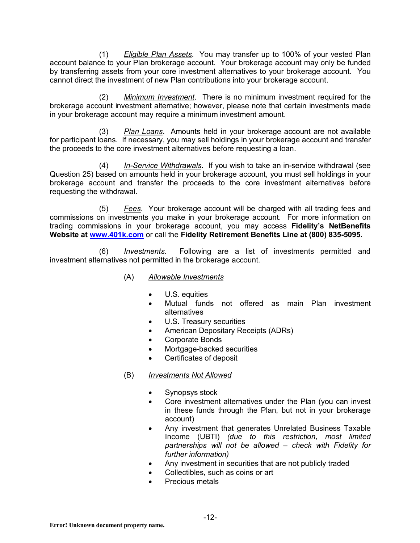(1) *Eligible Plan Assets*. You may transfer up to 100% of your vested Plan account balance to your Plan brokerage account. Your brokerage account may only be funded by transferring assets from your core investment alternatives to your brokerage account. You cannot direct the investment of new Plan contributions into your brokerage account.

(2) *Minimum Investment*. There is no minimum investment required for the brokerage account investment alternative; however, please note that certain investments made in your brokerage account may require a minimum investment amount.

(3) *Plan Loans*. Amounts held in your brokerage account are not available for participant loans. If necessary, you may sell holdings in your brokerage account and transfer the proceeds to the core investment alternatives before requesting a loan.

(4) *In-Service Withdrawals*. If you wish to take an in-service withdrawal (see Question 25) based on amounts held in your brokerage account, you must sell holdings in your brokerage account and transfer the proceeds to the core investment alternatives before requesting the withdrawal.

(5) *Fees*. Your brokerage account will be charged with all trading fees and commissions on investments you make in your brokerage account. For more information on trading commissions in your brokerage account, you may access **Fidelity's NetBenefits Website at www.401k.com** or call the **Fidelity Retirement Benefits Line at (800) 835-5095.**

(6) *Investments*. Following are a list of investments permitted and investment alternatives not permitted in the brokerage account.

- (A) *Allowable Investments*
	- U.S. equities
	- Mutual funds not offered as main Plan investment alternatives
	- U.S. Treasury securities
	- American Depositary Receipts (ADRs)
	- Corporate Bonds
	- Mortgage-backed securities
	- Certificates of deposit
- (B) *Investments Not Allowed*
	- Synopsys stock
	- Core investment alternatives under the Plan (you can invest in these funds through the Plan, but not in your brokerage account)
	- Any investment that generates Unrelated Business Taxable Income (UBTI) *(due to this restriction, most limited partnerships will not be allowed – check with Fidelity for further information)*
	- Any investment in securities that are not publicly traded
	- Collectibles, such as coins or art
	- Precious metals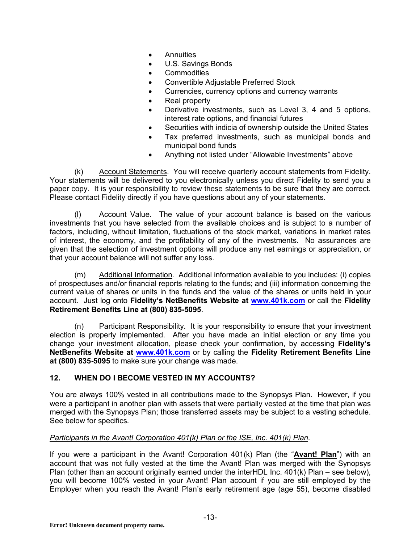- **Annuities**
- U.S. Savings Bonds
- Commodities
- Convertible Adjustable Preferred Stock
- Currencies, currency options and currency warrants
- Real property
- Derivative investments, such as Level 3, 4 and 5 options, interest rate options, and financial futures
- Securities with indicia of ownership outside the United States
- Tax preferred investments, such as municipal bonds and municipal bond funds
- Anything not listed under "Allowable Investments" above

(k) Account Statements. You will receive quarterly account statements from Fidelity. Your statements will be delivered to you electronically unless you direct Fidelity to send you a paper copy. It is your responsibility to review these statements to be sure that they are correct. Please contact Fidelity directly if you have questions about any of your statements.

(l) Account Value. The value of your account balance is based on the various investments that you have selected from the available choices and is subject to a number of factors, including, without limitation, fluctuations of the stock market, variations in market rates of interest, the economy, and the profitability of any of the investments. No assurances are given that the selection of investment options will produce any net earnings or appreciation, or that your account balance will not suffer any loss.

(m) Additional Information. Additional information available to you includes: (i) copies of prospectuses and/or financial reports relating to the funds; and (iii) information concerning the current value of shares or units in the funds and the value of the shares or units held in your account. Just log onto **Fidelity's NetBenefits Website at www.401k.com** or call the **Fidelity Retirement Benefits Line at (800) 835-5095**.

(n) Participant Responsibility. It is your responsibility to ensure that your investment election is properly implemented. After you have made an initial election or any time you change your investment allocation, please check your confirmation, by accessing **Fidelity's NetBenefits Website at www.401k.com** or by calling the **Fidelity Retirement Benefits Line at (800) 835-5095** to make sure your change was made.

## **12. WHEN DO I BECOME VESTED IN MY ACCOUNTS?**

You are always 100% vested in all contributions made to the Synopsys Plan. However, if you were a participant in another plan with assets that were partially vested at the time that plan was merged with the Synopsys Plan; those transferred assets may be subject to a vesting schedule. See below for specifics.

## *Participants in the Avant! Corporation 401(k) Plan or the ISE, Inc. 401(k) Plan.*

If you were a participant in the Avant! Corporation 401(k) Plan (the "**Avant! Plan**") with an account that was not fully vested at the time the Avant! Plan was merged with the Synopsys Plan (other than an account originally earned under the interHDL Inc. 401(k) Plan – see below), you will become 100% vested in your Avant! Plan account if you are still employed by the Employer when you reach the Avant! Plan's early retirement age (age 55), become disabled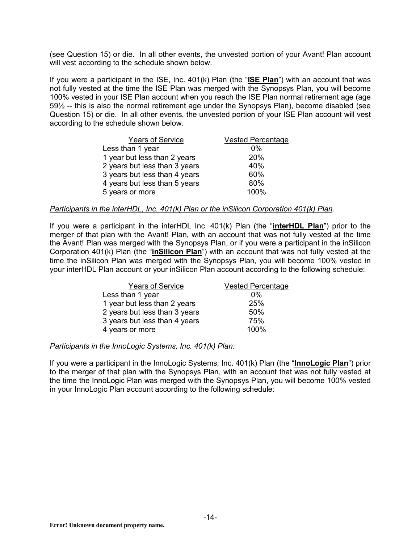(see Question 15) or die. In all other events, the unvested portion of your Avant! Plan account will vest according to the schedule shown below.

If you were a participant in the ISE, Inc. 401(k) Plan (the "**ISE Plan**") with an account that was not fully vested at the time the ISE Plan was merged with the Synopsys Plan, you will become 100% vested in your ISE Plan account when you reach the ISE Plan normal retirement age (age 59½ -- this is also the normal retirement age under the Synopsys Plan), become disabled (see Question 15) or die. In all other events, the unvested portion of your ISE Plan account will vest according to the schedule shown below.

| <b>Years of Service</b>       | <b>Vested Percentage</b> |
|-------------------------------|--------------------------|
| Less than 1 year              | 0%                       |
| 1 year but less than 2 years  | 20%                      |
| 2 years but less than 3 years | 40%                      |
| 3 years but less than 4 years | 60%                      |
| 4 years but less than 5 years | 80%                      |
| 5 years or more               | 100%                     |
|                               |                          |

#### *Participants in the interHDL, Inc. 401(k) Plan or the inSilicon Corporation 401(k) Plan.*

If you were a participant in the interHDL Inc. 401(k) Plan (the "**interHDL Plan**") prior to the merger of that plan with the Avant! Plan, with an account that was not fully vested at the time the Avant! Plan was merged with the Synopsys Plan, or if you were a participant in the inSilicon Corporation 401(k) Plan (the "**inSilicon Plan**") with an account that was not fully vested at the time the inSilicon Plan was merged with the Synopsys Plan, you will become 100% vested in your interHDL Plan account or your inSilicon Plan account according to the following schedule:

| <b>Years of Service</b>       | <b>Vested Percentage</b> |
|-------------------------------|--------------------------|
| Less than 1 year              | $0\%$                    |
| 1 year but less than 2 years  | 25%                      |
| 2 years but less than 3 years | 50%                      |
| 3 years but less than 4 years | 75%                      |
| 4 years or more               | 100%                     |

#### *Participants in the InnoLogic Systems, Inc. 401(k) Plan.*

If you were a participant in the InnoLogic Systems, Inc. 401(k) Plan (the "**InnoLogic Plan**") prior to the merger of that plan with the Synopsys Plan, with an account that was not fully vested at the time the InnoLogic Plan was merged with the Synopsys Plan, you will become 100% vested in your InnoLogic Plan account according to the following schedule: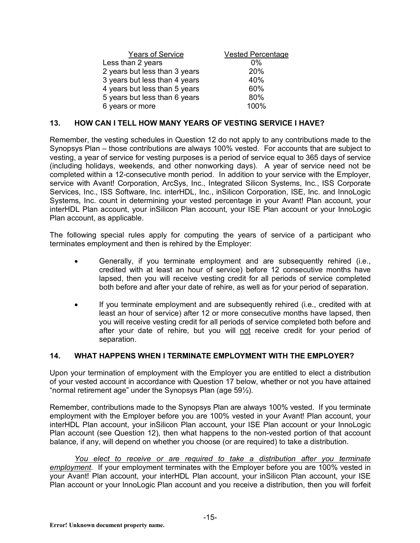| <b>Years of Service</b>       | <b>Vested Percentage</b> |
|-------------------------------|--------------------------|
| Less than 2 years             | $0\%$                    |
| 2 years but less than 3 years | 20%                      |
| 3 years but less than 4 years | 40%                      |
| 4 years but less than 5 years | 60%                      |
| 5 years but less than 6 years | 80%                      |
| 6 years or more               | 100%                     |

#### **13. HOW CAN I TELL HOW MANY YEARS OF VESTING SERVICE I HAVE?**

Remember, the vesting schedules in Question 12 do not apply to any contributions made to the Synopsys Plan – those contributions are always 100% vested. For accounts that are subject to vesting, a year of service for vesting purposes is a period of service equal to 365 days of service (including holidays, weekends, and other nonworking days). A year of service need not be completed within a 12-consecutive month period. In addition to your service with the Employer, service with Avant! Corporation, ArcSys, Inc., Integrated Silicon Systems, Inc., ISS Corporate Services, Inc., ISS Software, Inc. interHDL, Inc., inSilicon Corporation, ISE, Inc. and InnoLogic Systems, Inc. count in determining your vested percentage in your Avant! Plan account, your interHDL Plan account, your inSilicon Plan account, your ISE Plan account or your InnoLogic Plan account, as applicable.

The following special rules apply for computing the years of service of a participant who terminates employment and then is rehired by the Employer:

- Generally, if you terminate employment and are subsequently rehired (i.e., credited with at least an hour of service) before 12 consecutive months have lapsed, then you will receive vesting credit for all periods of service completed both before and after your date of rehire, as well as for your period of separation.
- If you terminate employment and are subsequently rehired (i.e., credited with at least an hour of service) after 12 or more consecutive months have lapsed, then you will receive vesting credit for all periods of service completed both before and after your date of rehire, but you will not receive credit for your period of separation.

## **14. WHAT HAPPENS WHEN I TERMINATE EMPLOYMENT WITH THE EMPLOYER?**

Upon your termination of employment with the Employer you are entitled to elect a distribution of your vested account in accordance with Question 17 below, whether or not you have attained "normal retirement age" under the Synopsys Plan (age 59½).

Remember, contributions made to the Synopsys Plan are always 100% vested. If you terminate employment with the Employer before you are 100% vested in your Avant! Plan account, your interHDL Plan account, your inSilicon Plan account, your ISE Plan account or your InnoLogic Plan account (see Question 12), then what happens to the non-vested portion of that account balance, if any, will depend on whether you choose (or are required) to take a distribution.

*You elect to receive or are required to take a distribution after you terminate employment*. If your employment terminates with the Employer before you are 100% vested in your Avant! Plan account, your interHDL Plan account, your inSilicon Plan account, your ISE Plan account or your InnoLogic Plan account and you receive a distribution, then you will forfeit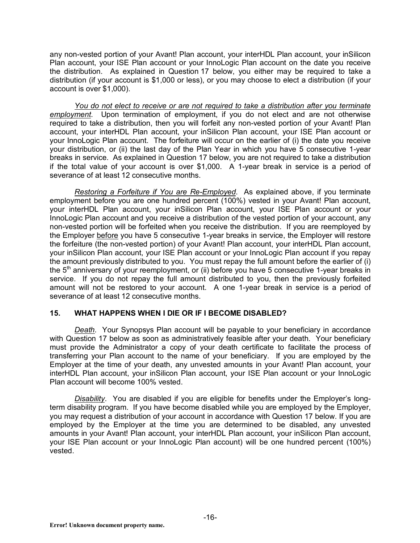any non-vested portion of your Avant! Plan account, your interHDL Plan account, your inSilicon Plan account, your ISE Plan account or your InnoLogic Plan account on the date you receive the distribution. As explained in Question 17 below, you either may be required to take a distribution (if your account is \$1,000 or less), or you may choose to elect a distribution (if your account is over \$1,000).

*You do not elect to receive or are not required to take a distribution after you terminate employment*. Upon termination of employment, if you do not elect and are not otherwise required to take a distribution, then you will forfeit any non-vested portion of your Avant! Plan account, your interHDL Plan account, your inSilicon Plan account, your ISE Plan account or your InnoLogic Plan account. The forfeiture will occur on the earlier of (i) the date you receive your distribution, or (ii) the last day of the Plan Year in which you have 5 consecutive 1-year breaks in service. As explained in Question 17 below, you are not required to take a distribution if the total value of your account is over \$1,000. A 1-year break in service is a period of severance of at least 12 consecutive months.

*Restoring a Forfeiture if You are Re-Employed*. As explained above, if you terminate employment before you are one hundred percent (100%) vested in your Avant! Plan account, your interHDL Plan account, your inSilicon Plan account, your ISE Plan account or your InnoLogic Plan account and you receive a distribution of the vested portion of your account, any non-vested portion will be forfeited when you receive the distribution. If you are reemployed by the Employer before you have 5 consecutive 1-year breaks in service, the Employer will restore the forfeiture (the non-vested portion) of your Avant! Plan account, your interHDL Plan account, your inSilicon Plan account, your ISE Plan account or your InnoLogic Plan account if you repay the amount previously distributed to you. You must repay the full amount before the earlier of (i) the  $5<sup>th</sup>$  anniversary of your reemployment, or (ii) before you have 5 consecutive 1-year breaks in service. If you do not repay the full amount distributed to you, then the previously forfeited amount will not be restored to your account. A one 1-year break in service is a period of severance of at least 12 consecutive months.

## **15. WHAT HAPPENS WHEN I DIE OR IF I BECOME DISABLED?**

*Death.* Your Synopsys Plan account will be payable to your beneficiary in accordance with Question 17 below as soon as administratively feasible after your death. Your beneficiary must provide the Administrator a copy of your death certificate to facilitate the process of transferring your Plan account to the name of your beneficiary. If you are employed by the Employer at the time of your death, any unvested amounts in your Avant! Plan account, your interHDL Plan account, your inSilicon Plan account, your ISE Plan account or your InnoLogic Plan account will become 100% vested.

*Disability*. You are disabled if you are eligible for benefits under the Employer's longterm disability program. If you have become disabled while you are employed by the Employer, you may request a distribution of your account in accordance with Question 17 below. If you are employed by the Employer at the time you are determined to be disabled, any unvested amounts in your Avant! Plan account, your interHDL Plan account, your inSilicon Plan account, your ISE Plan account or your InnoLogic Plan account) will be one hundred percent (100%) vested.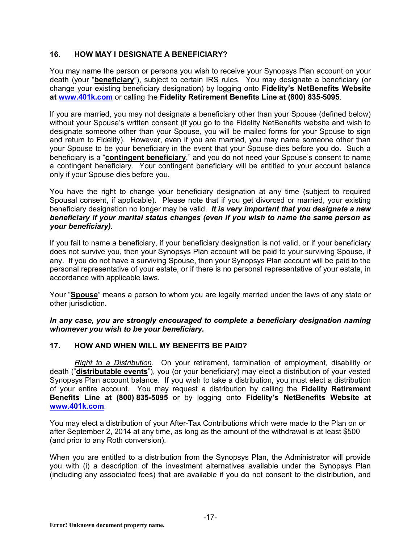## **16. HOW MAY I DESIGNATE A BENEFICIARY?**

You may name the person or persons you wish to receive your Synopsys Plan account on your death (your "**beneficiary**"), subject to certain IRS rules. You may designate a beneficiary (or change your existing beneficiary designation) by logging onto **Fidelity's NetBenefits Website at www.401k.com** or calling the **Fidelity Retirement Benefits Line at (800) 835-5095***.*

If you are married, you may not designate a beneficiary other than your Spouse (defined below) without your Spouse's written consent (if you go to the Fidelity NetBenefits website and wish to designate someone other than your Spouse, you will be mailed forms for your Spouse to sign and return to Fidelity). However, even if you are married, you may name someone other than your Spouse to be your beneficiary in the event that your Spouse dies before you do. Such a beneficiary is a "**contingent beneficiary**," and you do not need your Spouse's consent to name a contingent beneficiary. Your contingent beneficiary will be entitled to your account balance only if your Spouse dies before you.

You have the right to change your beneficiary designation at any time (subject to required Spousal consent, if applicable). Please note that if you get divorced or married, your existing beneficiary designation no longer may be valid. *It is very important that you designate a new beneficiary if your marital status changes (even if you wish to name the same person as your beneficiary).*

If you fail to name a beneficiary, if your beneficiary designation is not valid, or if your beneficiary does not survive you, then your Synopsys Plan account will be paid to your surviving Spouse, if any. If you do not have a surviving Spouse, then your Synopsys Plan account will be paid to the personal representative of your estate, or if there is no personal representative of your estate, in accordance with applicable laws.

Your "**Spouse**" means a person to whom you are legally married under the laws of any state or other jurisdiction.

*In any case, you are strongly encouraged to complete a beneficiary designation naming whomever you wish to be your beneficiary.*

## **17. HOW AND WHEN WILL MY BENEFITS BE PAID?**

*Right to a Distribution*. On your retirement, termination of employment, disability or death ("**distributable events**"), you (or your beneficiary) may elect a distribution of your vested Synopsys Plan account balance. If you wish to take a distribution, you must elect a distribution of your entire account. You may request a distribution by calling the **Fidelity Retirement Benefits Line at (800) 835-5095** or by logging onto **Fidelity's NetBenefits Website at www.401k.com**.

You may elect a distribution of your After-Tax Contributions which were made to the Plan on or after September 2, 2014 at any time, as long as the amount of the withdrawal is at least \$500 (and prior to any Roth conversion).

When you are entitled to a distribution from the Synopsys Plan, the Administrator will provide you with (i) a description of the investment alternatives available under the Synopsys Plan (including any associated fees) that are available if you do not consent to the distribution, and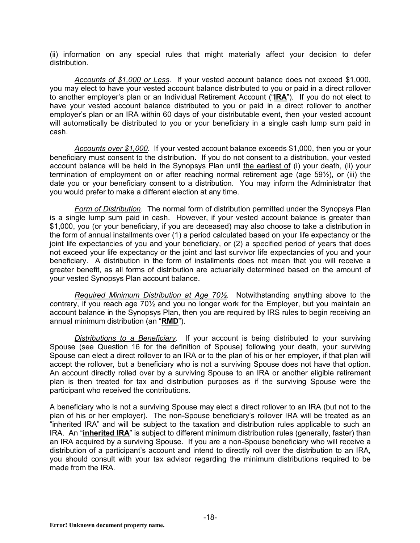(ii) information on any special rules that might materially affect your decision to defer distribution.

*Accounts of \$1,000 or Less*. If your vested account balance does not exceed \$1,000, you may elect to have your vested account balance distributed to you or paid in a direct rollover to another employer's plan or an Individual Retirement Account ("**IRA**"). If you do not elect to have your vested account balance distributed to you or paid in a direct rollover to another employer's plan or an IRA within 60 days of your distributable event, then your vested account will automatically be distributed to you or your beneficiary in a single cash lump sum paid in cash.

*Accounts over \$1,000*. If your vested account balance exceeds \$1,000, then you or your beneficiary must consent to the distribution. If you do not consent to a distribution, your vested account balance will be held in the Synopsys Plan until the earliest of (i) your death, (ii) your termination of employment on or after reaching normal retirement age (age 59½), or (iii) the date you or your beneficiary consent to a distribution. You may inform the Administrator that you would prefer to make a different election at any time.

*Form of Distribution*. The normal form of distribution permitted under the Synopsys Plan is a single lump sum paid in cash. However, if your vested account balance is greater than \$1,000, you (or your beneficiary, if you are deceased) may also choose to take a distribution in the form of annual installments over (1) a period calculated based on your life expectancy or the joint life expectancies of you and your beneficiary, or (2) a specified period of years that does not exceed your life expectancy or the joint and last survivor life expectancies of you and your beneficiary. A distribution in the form of installments does not mean that you will receive a greater benefit, as all forms of distribution are actuarially determined based on the amount of your vested Synopsys Plan account balance.

*Required Minimum Distribution at Age 70½*. Notwithstanding anything above to the contrary, if you reach age 70½ and you no longer work for the Employer, but you maintain an account balance in the Synopsys Plan, then you are required by IRS rules to begin receiving an annual minimum distribution (an "**RMD**").

*Distributions to a Beneficiary*. If your account is being distributed to your surviving Spouse (see Question 16 for the definition of Spouse) following your death, your surviving Spouse can elect a direct rollover to an IRA or to the plan of his or her employer, if that plan will accept the rollover, but a beneficiary who is not a surviving Spouse does not have that option. An account directly rolled over by a surviving Spouse to an IRA or another eligible retirement plan is then treated for tax and distribution purposes as if the surviving Spouse were the participant who received the contributions.

A beneficiary who is not a surviving Spouse may elect a direct rollover to an IRA (but not to the plan of his or her employer). The non-Spouse beneficiary's rollover IRA will be treated as an "inherited IRA" and will be subject to the taxation and distribution rules applicable to such an IRA. An "**inherited IRA**" is subject to different minimum distribution rules (generally, faster) than an IRA acquired by a surviving Spouse. If you are a non-Spouse beneficiary who will receive a distribution of a participant's account and intend to directly roll over the distribution to an IRA, you should consult with your tax advisor regarding the minimum distributions required to be made from the IRA.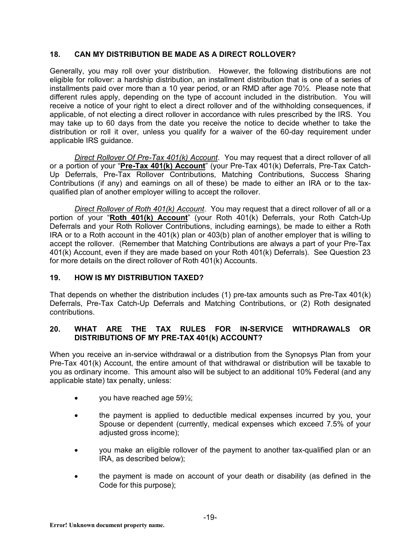## **18. CAN MY DISTRIBUTION BE MADE AS A DIRECT ROLLOVER?**

Generally, you may roll over your distribution. However, the following distributions are not eligible for rollover: a hardship distribution, an installment distribution that is one of a series of installments paid over more than a 10 year period, or an RMD after age 70½. Please note that different rules apply, depending on the type of account included in the distribution. You will receive a notice of your right to elect a direct rollover and of the withholding consequences, if applicable, of not electing a direct rollover in accordance with rules prescribed by the IRS. You may take up to 60 days from the date you receive the notice to decide whether to take the distribution or roll it over, unless you qualify for a waiver of the 60-day requirement under applicable IRS guidance.

*Direct Rollover Of Pre-Tax 401(k) Account*. You may request that a direct rollover of all or a portion of your "**Pre-Tax 401(k) Account**" (your Pre-Tax 401(k) Deferrals, Pre-Tax Catch-Up Deferrals, Pre-Tax Rollover Contributions, Matching Contributions, Success Sharing Contributions (if any) and earnings on all of these) be made to either an IRA or to the taxqualified plan of another employer willing to accept the rollover.

*Direct Rollover of Roth 401(k) Account*. You may request that a direct rollover of all or a portion of your "**Roth 401(k) Account**" (your Roth 401(k) Deferrals, your Roth Catch-Up Deferrals and your Roth Rollover Contributions, including earnings), be made to either a Roth IRA or to a Roth account in the 401(k) plan or 403(b) plan of another employer that is willing to accept the rollover. (Remember that Matching Contributions are always a part of your Pre-Tax 401(k) Account, even if they are made based on your Roth 401(k) Deferrals). See Question 23 for more details on the direct rollover of Roth 401(k) Accounts.

## **19. HOW IS MY DISTRIBUTION TAXED?**

That depends on whether the distribution includes (1) pre-tax amounts such as Pre-Tax 401(k) Deferrals, Pre-Tax Catch-Up Deferrals and Matching Contributions, or (2) Roth designated contributions.

## **20. WHAT ARE THE TAX RULES FOR IN-SERVICE WITHDRAWALS OR DISTRIBUTIONS OF MY PRE-TAX 401(k) ACCOUNT?**

When you receive an in-service withdrawal or a distribution from the Synopsys Plan from your Pre-Tax 401(k) Account, the entire amount of that withdrawal or distribution will be taxable to you as ordinary income. This amount also will be subject to an additional 10% Federal (and any applicable state) tax penalty, unless:

- you have reached age 591/<sub>2</sub>;
- the payment is applied to deductible medical expenses incurred by you, your Spouse or dependent (currently, medical expenses which exceed 7.5% of your adjusted gross income);
- you make an eligible rollover of the payment to another tax-qualified plan or an IRA, as described below);
- the payment is made on account of your death or disability (as defined in the Code for this purpose);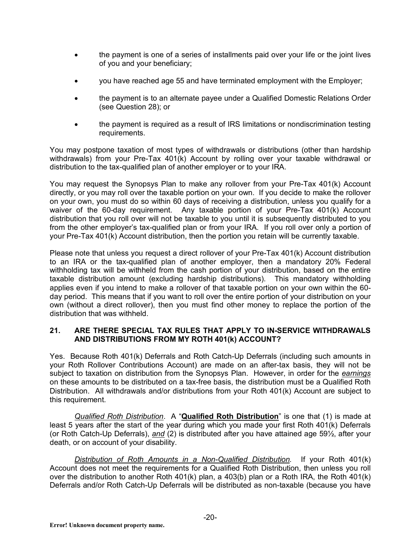- the payment is one of a series of installments paid over your life or the joint lives of you and your beneficiary;
- you have reached age 55 and have terminated employment with the Employer;
- the payment is to an alternate payee under a Qualified Domestic Relations Order (see Question 28); or
- the payment is required as a result of IRS limitations or nondiscrimination testing requirements.

You may postpone taxation of most types of withdrawals or distributions (other than hardship withdrawals) from your Pre-Tax 401(k) Account by rolling over your taxable withdrawal or distribution to the tax-qualified plan of another employer or to your IRA.

You may request the Synopsys Plan to make any rollover from your Pre-Tax 401(k) Account directly, or you may roll over the taxable portion on your own. If you decide to make the rollover on your own, you must do so within 60 days of receiving a distribution, unless you qualify for a waiver of the 60-day requirement. Any taxable portion of your Pre-Tax 401(k) Account distribution that you roll over will not be taxable to you until it is subsequently distributed to you from the other employer's tax-qualified plan or from your IRA. If you roll over only a portion of your Pre-Tax 401(k) Account distribution, then the portion you retain will be currently taxable.

Please note that unless you request a direct rollover of your Pre-Tax 401(k) Account distribution to an IRA or the tax-qualified plan of another employer, then a mandatory 20% Federal withholding tax will be withheld from the cash portion of your distribution, based on the entire taxable distribution amount (excluding hardship distributions). This mandatory withholding applies even if you intend to make a rollover of that taxable portion on your own within the 60 day period. This means that if you want to roll over the entire portion of your distribution on your own (without a direct rollover), then you must find other money to replace the portion of the distribution that was withheld.

#### **21. ARE THERE SPECIAL TAX RULES THAT APPLY TO IN-SERVICE WITHDRAWALS AND DISTRIBUTIONS FROM MY ROTH 401(k) ACCOUNT?**

Yes. Because Roth 401(k) Deferrals and Roth Catch-Up Deferrals (including such amounts in your Roth Rollover Contributions Account) are made on an after-tax basis, they will not be subject to taxation on distribution from the Synopsys Plan. However, in order for the *earnings* on these amounts to be distributed on a tax-free basis, the distribution must be a Qualified Roth Distribution. All withdrawals and/or distributions from your Roth 401(k) Account are subject to this requirement.

*Qualified Roth Distribution*. A "**Qualified Roth Distribution**" is one that (1) is made at least 5 years after the start of the year during which you made your first Roth 401(k) Deferrals (or Roth Catch-Up Deferrals), *and* (2) is distributed after you have attained age 59½, after your death, or on account of your disability.

*Distribution of Roth Amounts in a Non-Qualified Distribution.* If your Roth 401(k) Account does not meet the requirements for a Qualified Roth Distribution, then unless you roll over the distribution to another Roth 401(k) plan, a 403(b) plan or a Roth IRA, the Roth 401(k) Deferrals and/or Roth Catch-Up Deferrals will be distributed as non-taxable (because you have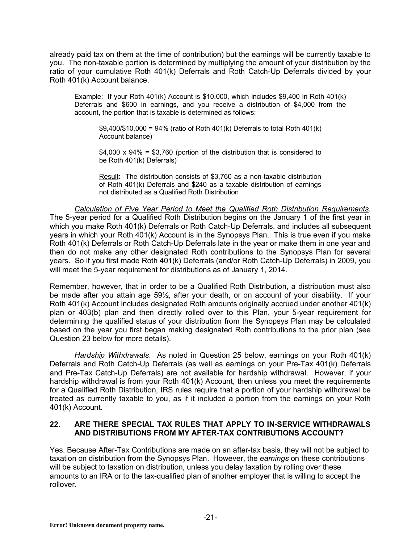already paid tax on them at the time of contribution) but the earnings will be currently taxable to you. The non-taxable portion is determined by multiplying the amount of your distribution by the ratio of your cumulative Roth 401(k) Deferrals and Roth Catch-Up Deferrals divided by your Roth 401(k) Account balance.

Example: If your Roth 401(k) Account is \$10,000, which includes \$9,400 in Roth 401(k) Deferrals and \$600 in earnings, and you receive a distribution of \$4,000 from the account, the portion that is taxable is determined as follows:

 $$9,400/\$10,000 = 94\%$  (ratio of Roth 401(k) Deferrals to total Roth 401(k) Account balance)

 $$4,000 \times 94\% = $3,760$  (portion of the distribution that is considered to be Roth 401(k) Deferrals)

Result: The distribution consists of \$3,760 as a non-taxable distribution of Roth 401(k) Deferrals and \$240 as a taxable distribution of earnings not distributed as a Qualified Roth Distribution

## *Calculation of Five Year Period to Meet the Qualified Roth Distribution Requirements.*

The 5-year period for a Qualified Roth Distribution begins on the January 1 of the first year in which you make Roth 401(k) Deferrals or Roth Catch-Up Deferrals, and includes all subsequent years in which your Roth 401(k) Account is in the Synopsys Plan. This is true even if you make Roth 401(k) Deferrals or Roth Catch-Up Deferrals late in the year or make them in one year and then do not make any other designated Roth contributions to the Synopsys Plan for several years. So if you first made Roth 401(k) Deferrals (and/or Roth Catch-Up Deferrals) in 2009, you will meet the 5-year requirement for distributions as of January 1, 2014.

Remember, however, that in order to be a Qualified Roth Distribution, a distribution must also be made after you attain age 59½, after your death, or on account of your disability. If your Roth 401(k) Account includes designated Roth amounts originally accrued under another 401(k) plan or 403(b) plan and then directly rolled over to this Plan, your 5-year requirement for determining the qualified status of your distribution from the Synopsys Plan may be calculated based on the year you first began making designated Roth contributions to the prior plan (see Question 23 below for more details).

*Hardship Withdrawals*. As noted in Question 25 below, earnings on your Roth 401(k) Deferrals and Roth Catch-Up Deferrals (as well as earnings on your Pre-Tax 401(k) Deferrals and Pre-Tax Catch-Up Deferrals) are not available for hardship withdrawal. However, if your hardship withdrawal is from your Roth 401(k) Account, then unless you meet the requirements for a Qualified Roth Distribution, IRS rules require that a portion of your hardship withdrawal be treated as currently taxable to you, as if it included a portion from the earnings on your Roth 401(k) Account.

#### **22. ARE THERE SPECIAL TAX RULES THAT APPLY TO IN-SERVICE WITHDRAWALS AND DISTRIBUTIONS FROM MY AFTER-TAX CONTRIBUTIONS ACCOUNT?**

Yes. Because After-Tax Contributions are made on an after-tax basis, they will not be subject to taxation on distribution from the Synopsys Plan. However, the *earnings* on these contributions will be subject to taxation on distribution, unless you delay taxation by rolling over these amounts to an IRA or to the tax-qualified plan of another employer that is willing to accept the rollover.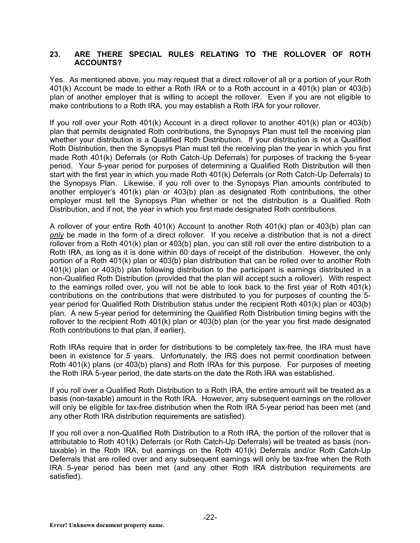#### **23. ARE THERE SPECIAL RULES RELATING TO THE ROLLOVER OF ROTH ACCOUNTS?**

Yes. As mentioned above, you may request that a direct rollover of all or a portion of your Roth 401(k) Account be made to either a Roth IRA or to a Roth account in a 401(k) plan or 403(b) plan of another employer that is willing to accept the rollover. Even if you are not eligible to make contributions to a Roth IRA, you may establish a Roth IRA for your rollover.

If you roll over your Roth 401(k) Account in a direct rollover to another 401(k) plan or 403(b) plan that permits designated Roth contributions, the Synopsys Plan must tell the receiving plan whether your distribution is a Qualified Roth Distribution. If your distribution is not a Qualified Roth Distribution, then the Synopsys Plan must tell the receiving plan the year in which you first made Roth 401(k) Deferrals (or Roth Catch-Up Deferrals) for purposes of tracking the 5-year period. Your 5-year period for purposes of determining a Qualified Roth Distribution will then start with the first year in which you made Roth 401(k) Deferrals (or Roth Catch-Up Deferrals) to the Synopsys Plan. Likewise, if you roll over to the Synopsys Plan amounts contributed to another employer's 401(k) plan or 403(b) plan as designated Roth contributions, the other employer must tell the Synopsys Plan whether or not the distribution is a Qualified Roth Distribution, and if not, the year in which you first made designated Roth contributions.

A rollover of your entire Roth 401(k) Account to another Roth 401(k) plan or 403(b) plan can *only* be made in the form of a direct rollover. If you receive a distribution that is not a direct rollover from a Roth 401(k) plan or 403(b) plan, you can still roll over the entire distribution to a Roth IRA, as long as it is done within 60 days of receipt of the distribution. However, the only portion of a Roth 401(k) plan or 403(b) plan distribution that can be rolled over to another Roth 401(k) plan or 403(b) plan following distribution to the participant is earnings distributed in a non-Qualified Roth Distribution (provided that the plan will accept such a rollover). With respect to the earnings rolled over, you will not be able to look back to the first year of Roth 401(k) contributions on the contributions that were distributed to you for purposes of counting the 5 year period for Qualified Roth Distribution status under the recipient Roth 401(k) plan or 403(b) plan. A new 5-year period for determining the Qualified Roth Distribution timing begins with the rollover to the recipient Roth 401(k) plan or 403(b) plan (or the year you first made designated Roth contributions to that plan, if earlier).

Roth IRAs require that in order for distributions to be completely tax-free, the IRA must have been in existence for 5 years. Unfortunately, the IRS does not permit coordination between Roth 401(k) plans (or 403(b) plans) and Roth IRAs for this purpose. For purposes of meeting the Roth IRA 5-year period, the date starts on the date the Roth IRA was established.

If you roll over a Qualified Roth Distribution to a Roth IRA, the entire amount will be treated as a basis (non-taxable) amount in the Roth IRA. However, any subsequent earnings on the rollover will only be eligible for tax-free distribution when the Roth IRA 5-year period has been met (and any other Roth IRA distribution requirements are satisfied).

If you roll over a non-Qualified Roth Distribution to a Roth IRA, the portion of the rollover that is attributable to Roth 401(k) Deferrals (or Roth Catch-Up Deferrals) will be treated as basis (nontaxable) in the Roth IRA, but earnings on the Roth 401(k) Deferrals and/or Roth Catch-Up Deferrals that are rolled over and any subsequent earnings will only be tax-free when the Roth IRA 5-year period has been met (and any other Roth IRA distribution requirements are satisfied).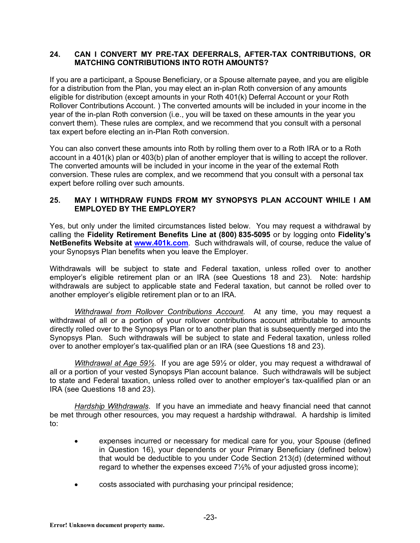#### **24. CAN I CONVERT MY PRE-TAX DEFERRALS, AFTER-TAX CONTRIBUTIONS, OR MATCHING CONTRIBUTIONS INTO ROTH AMOUNTS?**

If you are a participant, a Spouse Beneficiary, or a Spouse alternate payee, and you are eligible for a distribution from the Plan, you may elect an in-plan Roth conversion of any amounts eligible for distribution (except amounts in your Roth 401(k) Deferral Account or your Roth Rollover Contributions Account. ) The converted amounts will be included in your income in the year of the in-plan Roth conversion (i.e., you will be taxed on these amounts in the year you convert them). These rules are complex, and we recommend that you consult with a personal tax expert before electing an in-Plan Roth conversion.

You can also convert these amounts into Roth by rolling them over to a Roth IRA or to a Roth account in a 401(k) plan or 403(b) plan of another employer that is willing to accept the rollover. The converted amounts will be included in your income in the year of the external Roth conversion. These rules are complex, and we recommend that you consult with a personal tax expert before rolling over such amounts.

## **25. MAY I WITHDRAW FUNDS FROM MY SYNOPSYS PLAN ACCOUNT WHILE I AM EMPLOYED BY THE EMPLOYER?**

Yes, but only under the limited circumstances listed below. You may request a withdrawal by calling the **Fidelity Retirement Benefits Line at (800) 835-5095** or by logging onto **Fidelity's NetBenefits Website at www.401k.com**. Such withdrawals will, of course, reduce the value of your Synopsys Plan benefits when you leave the Employer.

Withdrawals will be subject to state and Federal taxation, unless rolled over to another employer's eligible retirement plan or an IRA (see Questions 18 and 23). Note: hardship withdrawals are subject to applicable state and Federal taxation, but cannot be rolled over to another employer's eligible retirement plan or to an IRA.

*Withdrawal from Rollover Contributions Account.* At any time, you may request a withdrawal of all or a portion of your rollover contributions account attributable to amounts directly rolled over to the Synopsys Plan or to another plan that is subsequently merged into the Synopsys Plan. Such withdrawals will be subject to state and Federal taxation, unless rolled over to another employer's tax-qualified plan or an IRA (see Questions 18 and 23).

*Withdrawal at Age 59½*. If you are age 59½ or older, you may request a withdrawal of all or a portion of your vested Synopsys Plan account balance. Such withdrawals will be subject to state and Federal taxation, unless rolled over to another employer's tax-qualified plan or an IRA (see Questions 18 and 23).

*Hardship Withdrawals*. If you have an immediate and heavy financial need that cannot be met through other resources, you may request a hardship withdrawal. A hardship is limited to:

- expenses incurred or necessary for medical care for you, your Spouse (defined in Question 16), your dependents or your Primary Beneficiary (defined below) that would be deductible to you under Code Section 213(d) (determined without regard to whether the expenses exceed 7½% of your adjusted gross income);
- costs associated with purchasing your principal residence;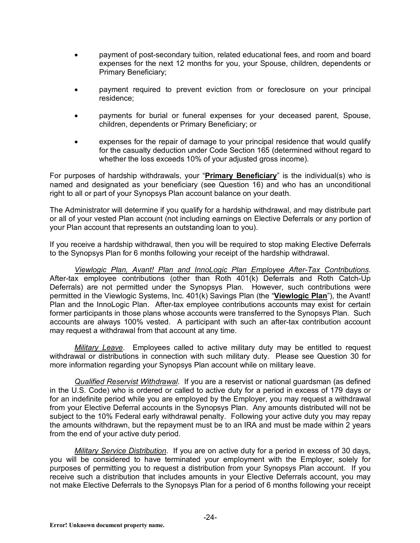- payment of post-secondary tuition, related educational fees, and room and board expenses for the next 12 months for you, your Spouse, children, dependents or Primary Beneficiary;
- payment required to prevent eviction from or foreclosure on your principal residence;
- payments for burial or funeral expenses for your deceased parent, Spouse, children, dependents or Primary Beneficiary; or
- expenses for the repair of damage to your principal residence that would qualify for the casualty deduction under Code Section 165 (determined without regard to whether the loss exceeds 10% of your adjusted gross income).

For purposes of hardship withdrawals, your "**Primary Beneficiary**" is the individual(s) who is named and designated as your beneficiary (see Question 16) and who has an unconditional right to all or part of your Synopsys Plan account balance on your death.

The Administrator will determine if you qualify for a hardship withdrawal, and may distribute part or all of your vested Plan account (not including earnings on Elective Deferrals or any portion of your Plan account that represents an outstanding loan to you).

If you receive a hardship withdrawal, then you will be required to stop making Elective Deferrals to the Synopsys Plan for 6 months following your receipt of the hardship withdrawal.

*Viewlogic Plan, Avant! Plan and InnoLogic Plan Employee After-Tax Contributions*. After-tax employee contributions (other than Roth 401(k) Deferrals and Roth Catch-Up Deferrals) are not permitted under the Synopsys Plan. However, such contributions were permitted in the Viewlogic Systems, Inc. 401(k) Savings Plan (the "**Viewlogic Plan**"), the Avant! Plan and the InnoLogic Plan. After-tax employee contributions accounts may exist for certain former participants in those plans whose accounts were transferred to the Synopsys Plan. Such accounts are always 100% vested. A participant with such an after-tax contribution account may request a withdrawal from that account at any time.

*Military Leave*. Employees called to active military duty may be entitled to request withdrawal or distributions in connection with such military duty. Please see Question 30 for more information regarding your Synopsys Plan account while on military leave.

*Qualified Reservist Withdrawal*. If you are a reservist or national guardsman (as defined in the U.S. Code) who is ordered or called to active duty for a period in excess of 179 days or for an indefinite period while you are employed by the Employer, you may request a withdrawal from your Elective Deferral accounts in the Synopsys Plan. Any amounts distributed will not be subiect to the 10% Federal early withdrawal penalty. Following your active duty you may repay the amounts withdrawn, but the repayment must be to an IRA and must be made within 2 years from the end of your active duty period.

*Military Service Distribution.* If you are on active duty for a period in excess of 30 days, you will be considered to have terminated your employment with the Employer, solely for purposes of permitting you to request a distribution from your Synopsys Plan account. If you receive such a distribution that includes amounts in your Elective Deferrals account, you may not make Elective Deferrals to the Synopsys Plan for a period of 6 months following your receipt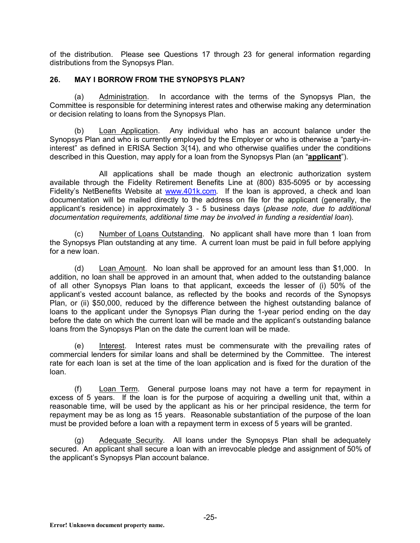of the distribution. Please see Questions 17 through 23 for general information regarding distributions from the Synopsys Plan.

#### **26. MAY I BORROW FROM THE SYNOPSYS PLAN?**

(a) Administration. In accordance with the terms of the Synopsys Plan, the Committee is responsible for determining interest rates and otherwise making any determination or decision relating to loans from the Synopsys Plan.

(b) Loan Application. Any individual who has an account balance under the Synopsys Plan and who is currently employed by the Employer or who is otherwise a "party-ininterest" as defined in ERISA Section 3(14), and who otherwise qualifies under the conditions described in this Question, may apply for a loan from the Synopsys Plan (an "**applicant**").

All applications shall be made though an electronic authorization system available through the Fidelity Retirement Benefits Line at (800) 835-5095 or by accessing Fidelity's NetBenefits Website at www.401k.com*.* If the loan is approved, a check and loan documentation will be mailed directly to the address on file for the applicant (generally, the applicant's residence) in approximately 3 - 5 business days (*please note, due to additional documentation requirements, additional time may be involved in funding a residential loan*).

(c) Number of Loans Outstanding. No applicant shall have more than 1 loan from the Synopsys Plan outstanding at any time. A current loan must be paid in full before applying for a new loan.

(d) Loan Amount. No loan shall be approved for an amount less than \$1,000. In addition, no loan shall be approved in an amount that, when added to the outstanding balance of all other Synopsys Plan loans to that applicant, exceeds the lesser of (i) 50% of the applicant's vested account balance, as reflected by the books and records of the Synopsys Plan, or (ii) \$50,000, reduced by the difference between the highest outstanding balance of loans to the applicant under the Synopsys Plan during the 1-year period ending on the day before the date on which the current loan will be made and the applicant's outstanding balance loans from the Synopsys Plan on the date the current loan will be made.

(e) Interest. Interest rates must be commensurate with the prevailing rates of commercial lenders for similar loans and shall be determined by the Committee. The interest rate for each loan is set at the time of the loan application and is fixed for the duration of the loan.

(f) Loan Term. General purpose loans may not have a term for repayment in excess of 5 years. If the loan is for the purpose of acquiring a dwelling unit that, within a reasonable time, will be used by the applicant as his or her principal residence, the term for repayment may be as long as 15 years. Reasonable substantiation of the purpose of the loan must be provided before a loan with a repayment term in excess of 5 years will be granted.

(g) Adequate Security. All loans under the Synopsys Plan shall be adequately secured. An applicant shall secure a loan with an irrevocable pledge and assignment of 50% of the applicant's Synopsys Plan account balance.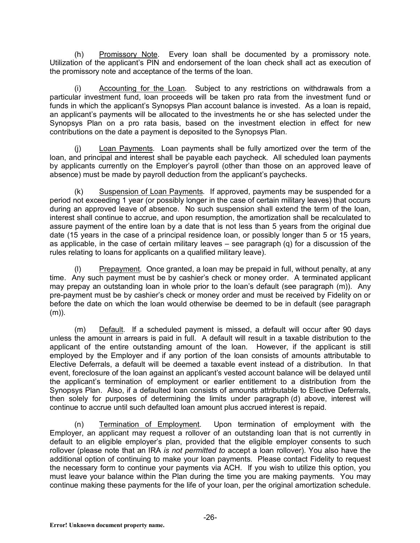(h) Promissory Note. Every loan shall be documented by a promissory note. Utilization of the applicant's PIN and endorsement of the loan check shall act as execution of the promissory note and acceptance of the terms of the loan.

(i) Accounting for the Loan*.* Subject to any restrictions on withdrawals from a particular investment fund, loan proceeds will be taken pro rata from the investment fund or funds in which the applicant's Synopsys Plan account balance is invested. As a loan is repaid, an applicant's payments will be allocated to the investments he or she has selected under the Synopsys Plan on a pro rata basis, based on the investment election in effect for new contributions on the date a payment is deposited to the Synopsys Plan.

(j) Loan Payments*.* Loan payments shall be fully amortized over the term of the loan, and principal and interest shall be payable each paycheck. All scheduled loan payments by applicants currently on the Employer's payroll (other than those on an approved leave of absence) must be made by payroll deduction from the applicant's paychecks.

(k) Suspension of Loan Payments*.* If approved, payments may be suspended for a period not exceeding 1 year (or possibly longer in the case of certain military leaves) that occurs during an approved leave of absence. No such suspension shall extend the term of the loan, interest shall continue to accrue, and upon resumption, the amortization shall be recalculated to assure payment of the entire loan by a date that is not less than 5 years from the original due date (15 years in the case of a principal residence loan, or possibly longer than 5 or 15 years, as applicable, in the case of certain military leaves  $-$  see paragraph (q) for a discussion of the rules relating to loans for applicants on a qualified military leave).

(l) Prepayment*.* Once granted, a loan may be prepaid in full, without penalty, at any time. Any such payment must be by cashier's check or money order. A terminated applicant may prepay an outstanding loan in whole prior to the loan's default (see paragraph (m)). Any pre-payment must be by cashier's check or money order and must be received by Fidelity on or before the date on which the loan would otherwise be deemed to be in default (see paragraph (m)).

(m) Default. If a scheduled payment is missed, a default will occur after 90 days unless the amount in arrears is paid in full. A default will result in a taxable distribution to the applicant of the entire outstanding amount of the loan. However, if the applicant is still employed by the Employer and if any portion of the loan consists of amounts attributable to Elective Deferrals, a default will be deemed a taxable event instead of a distribution. In that event, foreclosure of the loan against an applicant's vested account balance will be delayed until the applicant's termination of employment or earlier entitlement to a distribution from the Synopsys Plan. Also, if a defaulted loan consists of amounts attributable to Elective Deferrals, then solely for purposes of determining the limits under paragraph (d) above, interest will continue to accrue until such defaulted loan amount plus accrued interest is repaid.

(n) Termination of Employment*.* Upon termination of employment with the Employer, an applicant may request a rollover of an outstanding loan that is not currently in default to an eligible employer's plan, provided that the eligible employer consents to such rollover (please note that an IRA *is not permitted to* accept a loan rollover). You also have the additional option of continuing to make your loan payments. Please contact Fidelity to request the necessary form to continue your payments via ACH. If you wish to utilize this option, you must leave your balance within the Plan during the time you are making payments. You may continue making these payments for the life of your loan, per the original amortization schedule.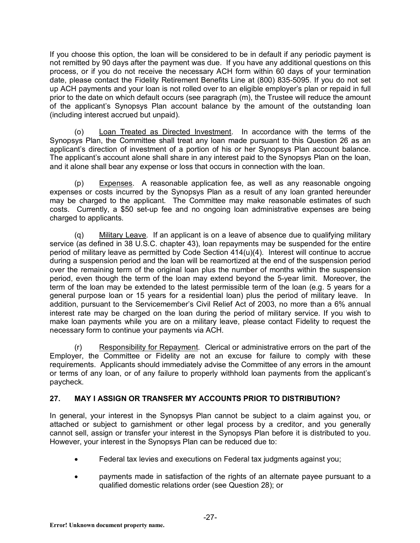If you choose this option, the loan will be considered to be in default if any periodic payment is not remitted by 90 days after the payment was due. If you have any additional questions on this process, or if you do not receive the necessary ACH form within 60 days of your termination date, please contact the Fidelity Retirement Benefits Line at (800) 835-5095. If you do not set up ACH payments and your loan is not rolled over to an eligible employer's plan or repaid in full prior to the date on which default occurs (see paragraph (m), the Trustee will reduce the amount of the applicant's Synopsys Plan account balance by the amount of the outstanding loan (including interest accrued but unpaid).

(o) Loan Treated as Directed Investment. In accordance with the terms of the Synopsys Plan, the Committee shall treat any loan made pursuant to this Question 26 as an applicant's direction of investment of a portion of his or her Synopsys Plan account balance. The applicant's account alone shall share in any interest paid to the Synopsys Plan on the loan, and it alone shall bear any expense or loss that occurs in connection with the loan.

(p) Expenses. A reasonable application fee, as well as any reasonable ongoing expenses or costs incurred by the Synopsys Plan as a result of any loan granted hereunder may be charged to the applicant. The Committee may make reasonable estimates of such costs. Currently, a \$50 set-up fee and no ongoing loan administrative expenses are being charged to applicants.

(q) Military Leave*.* If an applicant is on a leave of absence due to qualifying military service (as defined in 38 U.S.C. chapter 43), loan repayments may be suspended for the entire period of military leave as permitted by Code Section 414(u)(4). Interest will continue to accrue during a suspension period and the loan will be reamortized at the end of the suspension period over the remaining term of the original loan plus the number of months within the suspension period, even though the term of the loan may extend beyond the 5-year limit. Moreover, the term of the loan may be extended to the latest permissible term of the loan (e.g. 5 years for a general purpose loan or 15 years for a residential loan) plus the period of military leave. In addition, pursuant to the Servicemember's Civil Relief Act of 2003, no more than a 6% annual interest rate may be charged on the loan during the period of military service. If you wish to make loan payments while you are on a military leave, please contact Fidelity to request the necessary form to continue your payments via ACH.

(r) Responsibility for Repayment. Clerical or administrative errors on the part of the Employer, the Committee or Fidelity are not an excuse for failure to comply with these requirements. Applicants should immediately advise the Committee of any errors in the amount or terms of any loan, or of any failure to properly withhold loan payments from the applicant's paycheck.

# **27. MAY I ASSIGN OR TRANSFER MY ACCOUNTS PRIOR TO DISTRIBUTION?**

In general, your interest in the Synopsys Plan cannot be subject to a claim against you, or attached or subject to garnishment or other legal process by a creditor, and you generally cannot sell, assign or transfer your interest in the Synopsys Plan before it is distributed to you. However, your interest in the Synopsys Plan can be reduced due to:

- Federal tax levies and executions on Federal tax judgments against you;
- payments made in satisfaction of the rights of an alternate payee pursuant to a qualified domestic relations order (see Question 28); or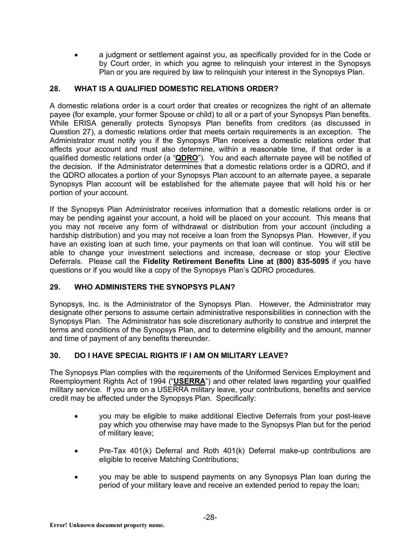• a judgment or settlement against you, as specifically provided for in the Code or by Court order, in which you agree to relinquish your interest in the Synopsys Plan or you are required by law to relinquish your interest in the Synopsys Plan.

## **28. WHAT IS A QUALIFIED DOMESTIC RELATIONS ORDER?**

A domestic relations order is a court order that creates or recognizes the right of an alternate payee (for example, your former Spouse or child) to all or a part of your Synopsys Plan benefits. While ERISA generally protects Synopsys Plan benefits from creditors (as discussed in Question 27), a domestic relations order that meets certain requirements is an exception. The Administrator must notify you if the Synopsys Plan receives a domestic relations order that affects your account and must also determine, within a reasonable time, if that order is a qualified domestic relations order (a "**QDRO**"). You and each alternate payee will be notified of the decision. If the Administrator determines that a domestic relations order is a QDRO, and if the QDRO allocates a portion of your Synopsys Plan account to an alternate payee, a separate Synopsys Plan account will be established for the alternate payee that will hold his or her portion of your account.

If the Synopsys Plan Administrator receives information that a domestic relations order is or may be pending against your account, a hold will be placed on your account. This means that you may not receive any form of withdrawal or distribution from your account (including a hardship distribution) and you may not receive a loan from the Synopsys Plan. However, if you have an existing loan at such time, your payments on that loan will continue. You will still be able to change your investment selections and increase, decrease or stop your Elective Deferrals. Please call the **Fidelity Retirement Benefits Line at (800) 835-5095** if you have questions or if you would like a copy of the Synopsys Plan's QDRO procedures.

# **29. WHO ADMINISTERS THE SYNOPSYS PLAN?**

Synopsys, Inc. is the Administrator of the Synopsys Plan. However, the Administrator may designate other persons to assume certain administrative responsibilities in connection with the Synopsys Plan. The Administrator has sole discretionary authority to construe and interpret the terms and conditions of the Synopsys Plan, and to determine eligibility and the amount, manner and time of payment of any benefits thereunder.

## **30. DO I HAVE SPECIAL RIGHTS IF I AM ON MILITARY LEAVE?**

The Synopsys Plan complies with the requirements of the Uniformed Services Employment and Reemployment Rights Act of 1994 ("**USERRA**") and other related laws regarding your qualified military service. If you are on a USERRA military leave, your contributions, benefits and service credit may be affected under the Synopsys Plan. Specifically:

- you may be eligible to make additional Elective Deferrals from your post-leave pay which you otherwise may have made to the Synopsys Plan but for the period of military leave;
- Pre-Tax 401(k) Deferral and Roth 401(k) Deferral make-up contributions are eligible to receive Matching Contributions;
- you may be able to suspend payments on any Synopsys Plan loan during the period of your military leave and receive an extended period to repay the loan;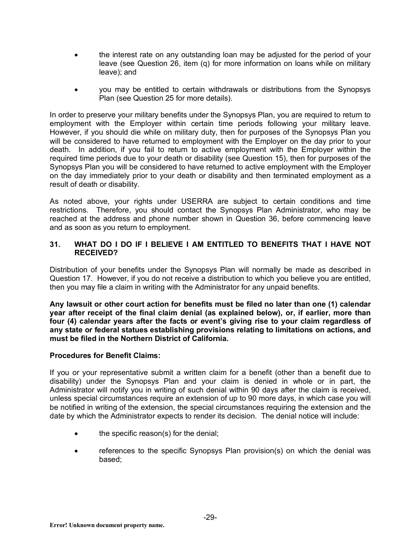- the interest rate on any outstanding loan may be adjusted for the period of your leave (see Question 26, item (q) for more information on loans while on military leave); and
- you may be entitled to certain withdrawals or distributions from the Synopsys Plan (see Question 25 for more details).

In order to preserve your military benefits under the Synopsys Plan, you are required to return to employment with the Employer within certain time periods following your military leave. However, if you should die while on military duty, then for purposes of the Synopsys Plan you will be considered to have returned to employment with the Employer on the day prior to your death. In addition, if you fail to return to active employment with the Employer within the required time periods due to your death or disability (see Question 15), then for purposes of the Synopsys Plan you will be considered to have returned to active employment with the Employer on the day immediately prior to your death or disability and then terminated employment as a result of death or disability.

As noted above, your rights under USERRA are subject to certain conditions and time restrictions. Therefore, you should contact the Synopsys Plan Administrator, who may be reached at the address and phone number shown in Question 36, before commencing leave and as soon as you return to employment.

#### **31. WHAT DO I DO IF I BELIEVE I AM ENTITLED TO BENEFITS THAT I HAVE NOT RECEIVED?**

Distribution of your benefits under the Synopsys Plan will normally be made as described in Question 17. However, if you do not receive a distribution to which you believe you are entitled, then you may file a claim in writing with the Administrator for any unpaid benefits.

**Any lawsuit or other court action for benefits must be filed no later than one (1) calendar year after receipt of the final claim denial (as explained below), or, if earlier, more than four (4) calendar years after the facts or event's giving rise to your claim regardless of any state or federal statues establishing provisions relating to limitations on actions, and must be filed in the Northern District of California.**

## **Procedures for Benefit Claims:**

If you or your representative submit a written claim for a benefit (other than a benefit due to disability) under the Synopsys Plan and your claim is denied in whole or in part, the Administrator will notify you in writing of such denial within 90 days after the claim is received, unless special circumstances require an extension of up to 90 more days, in which case you will be notified in writing of the extension, the special circumstances requiring the extension and the date by which the Administrator expects to render its decision. The denial notice will include:

- the specific reason(s) for the denial;
- references to the specific Synopsys Plan provision(s) on which the denial was based;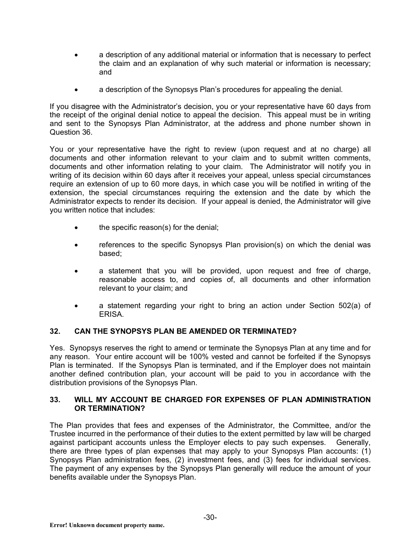- a description of any additional material or information that is necessary to perfect the claim and an explanation of why such material or information is necessary; and
- a description of the Synopsys Plan's procedures for appealing the denial.

If you disagree with the Administrator's decision, you or your representative have 60 days from the receipt of the original denial notice to appeal the decision. This appeal must be in writing and sent to the Synopsys Plan Administrator, at the address and phone number shown in Question 36.

You or your representative have the right to review (upon request and at no charge) all documents and other information relevant to your claim and to submit written comments, documents and other information relating to your claim. The Administrator will notify you in writing of its decision within 60 days after it receives your appeal, unless special circumstances require an extension of up to 60 more days, in which case you will be notified in writing of the extension, the special circumstances requiring the extension and the date by which the Administrator expects to render its decision. If your appeal is denied, the Administrator will give you written notice that includes:

- the specific reason(s) for the denial;
- references to the specific Synopsys Plan provision(s) on which the denial was based;
- a statement that you will be provided, upon request and free of charge, reasonable access to, and copies of, all documents and other information relevant to your claim; and
- a statement regarding your right to bring an action under Section 502(a) of ERISA.

## **32. CAN THE SYNOPSYS PLAN BE AMENDED OR TERMINATED?**

Yes. Synopsys reserves the right to amend or terminate the Synopsys Plan at any time and for any reason. Your entire account will be 100% vested and cannot be forfeited if the Synopsys Plan is terminated. If the Synopsys Plan is terminated, and if the Employer does not maintain another defined contribution plan, your account will be paid to you in accordance with the distribution provisions of the Synopsys Plan.

## **33. WILL MY ACCOUNT BE CHARGED FOR EXPENSES OF PLAN ADMINISTRATION OR TERMINATION?**

The Plan provides that fees and expenses of the Administrator, the Committee, and/or the Trustee incurred in the performance of their duties to the extent permitted by law will be charged against participant accounts unless the Employer elects to pay such expenses. Generally, there are three types of plan expenses that may apply to your Synopsys Plan accounts: (1) Synopsys Plan administration fees, (2) investment fees, and (3) fees for individual services. The payment of any expenses by the Synopsys Plan generally will reduce the amount of your benefits available under the Synopsys Plan.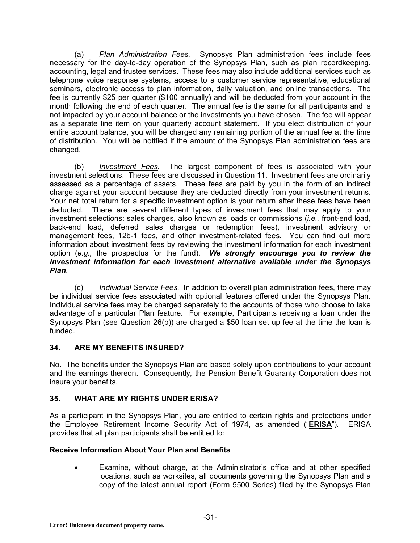(a) *Plan Administration Fees.* Synopsys Plan administration fees include fees necessary for the day-to-day operation of the Synopsys Plan, such as plan recordkeeping, accounting, legal and trustee services. These fees may also include additional services such as telephone voice response systems, access to a customer service representative, educational seminars, electronic access to plan information, daily valuation, and online transactions. The fee is currently \$25 per quarter (\$100 annually) and will be deducted from your account in the month following the end of each quarter. The annual fee is the same for all participants and is not impacted by your account balance or the investments you have chosen. The fee will appear as a separate line item on your quarterly account statement. If you elect distribution of your entire account balance, you will be charged any remaining portion of the annual fee at the time of distribution. You will be notified if the amount of the Synopsys Plan administration fees are changed.

(b) *Investment Fees.* The largest component of fees is associated with your investment selections. These fees are discussed in Question 11. Investment fees are ordinarily assessed as a percentage of assets. These fees are paid by you in the form of an indirect charge against your account because they are deducted directly from your investment returns. Your net total return for a specific investment option is your return after these fees have been deducted. There are several different types of investment fees that may apply to your investment selections: sales charges, also known as loads or commissions (*i.e.,* front-end load, back-end load, deferred sales charges or redemption fees), investment advisory or management fees, 12b-1 fees, and other investment-related fees. You can find out more information about investment fees by reviewing the investment information for each investment option (*e.g.,* the prospectus for the fund). *We strongly encourage you to review the investment information for each investment alternative available under the Synopsys Plan.*

(c) *Individual Service Fees.* In addition to overall plan administration fees, there may be individual service fees associated with optional features offered under the Synopsys Plan. Individual service fees may be charged separately to the accounts of those who choose to take advantage of a particular Plan feature. For example, Participants receiving a loan under the Synopsys Plan (see Question 26(p)) are charged a \$50 loan set up fee at the time the loan is funded.

## **34. ARE MY BENEFITS INSURED?**

No. The benefits under the Synopsys Plan are based solely upon contributions to your account and the earnings thereon. Consequently, the Pension Benefit Guaranty Corporation does not insure your benefits.

# **35. WHAT ARE MY RIGHTS UNDER ERISA?**

As a participant in the Synopsys Plan, you are entitled to certain rights and protections under the Employee Retirement Income Security Act of 1974, as amended ("**ERISA**"). ERISA provides that all plan participants shall be entitled to:

# **Receive Information About Your Plan and Benefits**

Examine, without charge, at the Administrator's office and at other specified locations, such as worksites, all documents governing the Synopsys Plan and a copy of the latest annual report (Form 5500 Series) filed by the Synopsys Plan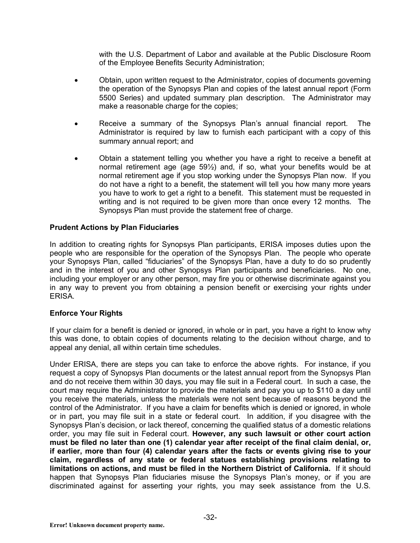with the U.S. Department of Labor and available at the Public Disclosure Room of the Employee Benefits Security Administration;

- Obtain, upon written request to the Administrator, copies of documents governing the operation of the Synopsys Plan and copies of the latest annual report (Form 5500 Series) and updated summary plan description. The Administrator may make a reasonable charge for the copies;
- Receive a summary of the Synopsys Plan's annual financial report. The Administrator is required by law to furnish each participant with a copy of this summary annual report; and
- Obtain a statement telling you whether you have a right to receive a benefit at normal retirement age (age 59½) and, if so, what your benefits would be at normal retirement age if you stop working under the Synopsys Plan now. If you do not have a right to a benefit, the statement will tell you how many more years you have to work to get a right to a benefit. This statement must be requested in writing and is not required to be given more than once every 12 months. The Synopsys Plan must provide the statement free of charge.

#### **Prudent Actions by Plan Fiduciaries**

In addition to creating rights for Synopsys Plan participants, ERISA imposes duties upon the people who are responsible for the operation of the Synopsys Plan. The people who operate your Synopsys Plan, called "fiduciaries" of the Synopsys Plan, have a duty to do so prudently and in the interest of you and other Synopsys Plan participants and beneficiaries. No one, including your employer or any other person, may fire you or otherwise discriminate against you in any way to prevent you from obtaining a pension benefit or exercising your rights under ERISA.

## **Enforce Your Rights**

If your claim for a benefit is denied or ignored, in whole or in part, you have a right to know why this was done, to obtain copies of documents relating to the decision without charge, and to appeal any denial, all within certain time schedules.

Under ERISA, there are steps you can take to enforce the above rights. For instance, if you request a copy of Synopsys Plan documents or the latest annual report from the Synopsys Plan and do not receive them within 30 days, you may file suit in a Federal court. In such a case, the court may require the Administrator to provide the materials and pay you up to \$110 a day until you receive the materials, unless the materials were not sent because of reasons beyond the control of the Administrator. If you have a claim for benefits which is denied or ignored, in whole or in part, you may file suit in a state or federal court. In addition, if you disagree with the Synopsys Plan's decision, or lack thereof, concerning the qualified status of a domestic relations order, you may file suit in Federal court. **However, any such lawsuit or other court action must be filed no later than one (1) calendar year after receipt of the final claim denial, or, if earlier, more than four (4) calendar years after the facts or events giving rise to your claim, regardless of any state or federal statues establishing provisions relating to limitations on actions, and must be filed in the Northern District of California.** If it should happen that Synopsys Plan fiduciaries misuse the Synopsys Plan's money, or if you are discriminated against for asserting your rights, you may seek assistance from the U.S.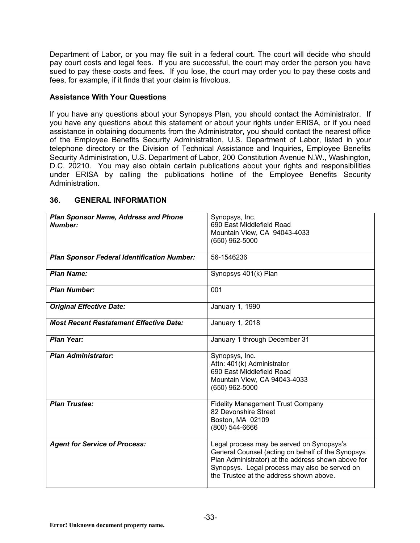Department of Labor, or you may file suit in a federal court. The court will decide who should pay court costs and legal fees. If you are successful, the court may order the person you have sued to pay these costs and fees. If you lose, the court may order you to pay these costs and fees, for example, if it finds that your claim is frivolous.

#### **Assistance With Your Questions**

If you have any questions about your Synopsys Plan, you should contact the Administrator. If you have any questions about this statement or about your rights under ERISA, or if you need assistance in obtaining documents from the Administrator, you should contact the nearest office of the Employee Benefits Security Administration, U.S. Department of Labor, listed in your telephone directory or the Division of Technical Assistance and Inquiries, Employee Benefits Security Administration, U.S. Department of Labor, 200 Constitution Avenue N.W., Washington, D.C. 20210. You may also obtain certain publications about your rights and responsibilities under ERISA by calling the publications hotline of the Employee Benefits Security Administration.

| <b>Plan Sponsor Name, Address and Phone</b><br><b>Number:</b> | Synopsys, Inc.<br>690 East Middlefield Road                                                                                                                                                                                                      |
|---------------------------------------------------------------|--------------------------------------------------------------------------------------------------------------------------------------------------------------------------------------------------------------------------------------------------|
|                                                               | Mountain View, CA 94043-4033<br>$(650)$ 962-5000                                                                                                                                                                                                 |
| <b>Plan Sponsor Federal Identification Number:</b>            | 56-1546236                                                                                                                                                                                                                                       |
| <b>Plan Name:</b>                                             | Synopsys 401(k) Plan                                                                                                                                                                                                                             |
| <b>Plan Number:</b>                                           | 001                                                                                                                                                                                                                                              |
| <b>Original Effective Date:</b>                               | January 1, 1990                                                                                                                                                                                                                                  |
| <b>Most Recent Restatement Effective Date:</b>                | January 1, 2018                                                                                                                                                                                                                                  |
| <b>Plan Year:</b>                                             | January 1 through December 31                                                                                                                                                                                                                    |
| <b>Plan Administrator:</b>                                    | Synopsys, Inc.<br>Attn: 401(k) Administrator<br>690 East Middlefield Road<br>Mountain View, CA 94043-4033<br>$(650)$ 962-5000                                                                                                                    |
| <b>Plan Trustee:</b>                                          | <b>Fidelity Management Trust Company</b><br>82 Devonshire Street<br>Boston, MA 02109<br>$(800)$ 544-6666                                                                                                                                         |
| <b>Agent for Service of Process:</b>                          | Legal process may be served on Synopsys's<br>General Counsel (acting on behalf of the Synopsys<br>Plan Administrator) at the address shown above for<br>Synopsys. Legal process may also be served on<br>the Trustee at the address shown above. |

## **36. GENERAL INFORMATION**